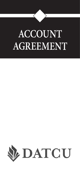# **ACCOUNT** AGREEMENT

7

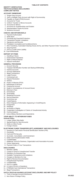### **IDENTITY VERIFICATION TRUTH-IN-SAVINGS DISCLOSURES COMPLAINT NOTICE**

### **ACCOUNT OWNERSHIP**

- 1. Single Party Account
- 2. Joint or Multiple Party Account with Right of Survivorship
- 3. Payable on Death (POD) Account
- 4. Accounts for Trusts
- 5. Uniform Transfer to Minors Accounts
- 6. Accounts for Minors
- 7. Accounts for Guardianships and Estates
- 8. Representative Payee Accounts 9. Business Accounts

### **CHECKS AND WITHDRAWALS**

- 1. Payment Authorization
- 2. Stale Items
- 3. Overdraft and Overdraft Protection
- 4. Transaction/Transfer Limitations
- 5. Signatures and Records
- 6. Postdated, Incomplete and Conditional Items
- 7. Wire Transfer(s), Automated Clearing House (ACH), and Other Payment Order Transactions
- 8. Stop Payment
- 9. DATCU Credit Union Liability
- 10. Cash Withdrawals

### **DEPOSIT OF ITEMS**

- 1. Handling of Items
- 2. Endorsement Standards
- 3. Right to Refuse Deposit
- 4. Deposit Verification

### **GENERAL PROVISIONS**

- 1. Account Security 2. Taxpayer Identification Number and Backup Withholding
- 3. Inactive Accounts
- 4. Account Statements
- 5. Illegal Transactions
- 6. Legal Process
- 7. Contractual Lien
- 8. Dispute Resolution
- 9. Notices
- 10. Power of Attorney (POA)
- 11. Withdrawal of Services
- 
- 12. Closing the Account 13. Death or Incompetence of Account Owner
- 14. Attorney's Fees
- 15. Amendment
- 
- 16. Severability 17. Reopened Accounts
- 18. Record Retention
- 19. Governing Law
- 20. Credit Reports
- 21. Direct Disputes of Information Appearing in Credit Reports
- 22. Assignment
- 23. Headings
- 24. No Waiver of Rights
- 25. Cooperation Investigation of Claims of Unauthorized Activity
- 26. Communications
- 27. Active Military Members and Dependents

### **YOUR ABILITY TO WITHDRAW FUNDS**

### **General Policy**

- 1. Longer Delays May Apply
- 2. Special Rules for New Accounts
- 3. Holds on Other Funds
- 4. Foreign Checks

### **ELECTRONIC FUNDS TRANSFERS (EFT) AGREEMENT AND DISCLOSURES**

- 1. Issuance of Card and/or Personal Identification Number (PIN)
- 2. Overdrafts
- 3. Card and PIN Security
- 4. Surrender, Cancellation, and Amendment
- 5. Debit Card Preauthorization Holds
- 6. Confidentiality
- 7. Additional Terms for Business, Organization and Association Accounts
- 
- 8. Online Statements 9. Payment Order of Your Transactions

### **DISCLOSURES**

- 1. Member Liability
- 2. Contact in Event of Unauthorized Transfer
- 3. Definition of a Business Day
- 4. Available Transactions and Limitations
- 5. Charges to Members for Use
- 6. Right to Receive Documentation
- 7. Preauthorized Payments
- 8. Confidentiality
- 9. DATCU Liability
- 10. In Case of Errors or Questions
- 11. ATM/Debit Card International Transactions

### 12. Illegal Transactions

- **DATCU TRUTH IN SAVINGS ACCOUNT DISCLOSURES AND NRP POLICY**
- 1. Truth-In-Savings Account Disclosures 2. Non-Return Privilege Policy **05-2022**
-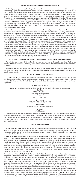### **DATCU MEMBERSHIP AND ACCOUNT AGREEMENT**

In this Agreement, the words "you", "your", and "party" mean any and all persons or entities who sign a Membership Application or any other application or Card in connection with the opening of any Account with DATCU Credit Union, including any applicant for membership, any Joint Owner, or any other person or entity authorized to use or having access to any such Account. "Owner" means an owner of the Account. "Primary Member" means the member Owner under whose Taxpayer Identification Number the Account is established. These terms may also be used to mean any person to whom a DATCU Debit Card (the Card) is issued, any person to whom a personal identification number (PIN) is issued in connection with any such Card or any other electronic fund transfer service, any person authorized to use or given access to any such Card or PIN and any owner on any Credit Union Account which may be accessed by the Card or the PIN. The words "we", "us", "our" and "Credit Union" mean DATCU Credit Union. The person authorized to use the Card must sign each Card that we issue to you.

You authorize us to establish one or more Accounts for you, by you, or on behalf of third parties as designated in your Membership Application or in any other Account Application you may execute with us (collectively, the "Application"), including but not limited to any Share Savings, Money Market, Checking, IRA Share Savings, Certificate of Deposit and IRA Certificate of Deposit Account. By opening, signing the Card, or using any such Account, you agree to be bound by the terms of this Agreement whether you are acting in your individual capacity, in a fiduciary capacity or in your capacity as an officer, agent, or representative of any business entity or association with regard to any such Account. You also acknowledge receipt of and agree to be bound by our Truth-In-Savings Rate Schedules, Fee Schedules and Account Disclosures as amended from time to time and to conform to our rules, regulations, bylaws, and policies now in effect and as amended or adopted hereafter. In case of any conflict between the terms of this Account Agreement and the disclosures set forth in the Truth-In-Savings Rate Schedules, Fee Schedules, and the Account Disclosures, the disclosures appearing in those Schedules and Disclosures will control unless this Agreement provides otherwise. The Truth-In-Savings Rate and Fee Schedules and Account Disclosures are incorporated into this Agreement. This Agreement is incorporated into and made a part of any Application or other document, which you execute in connection with the opening, or use of anyAccount.

### **IMPORTANT INFORMATION ABOUT PROCEDURES FOR OPENING A NEW ACCOUNT**

To help the government fight the funding of terrorism and money laundering activities, Federal law requires all financial institutions to obtain, verify, and record information that identifies each person who opens an Account.

What this means to you: When you open an Account, we will ask for your name, address, date of birth, and other information that will allow us to identify you. We may also ask to see your driver's license or other identifying documents.

### **TRUTH-IN-SAVINGS DISCLOSURES**

Truth-in-Savings Disclosures, which apply to each of your Accounts, including the dividend rate, interest rate if applicable, and the annual percentage yield on your Accounts, are set out on the Truth-In-Savings Account Disclosures. The Truth-In-Savings Fee and Rate Schedules will accompany your Account Agreement.

### **COMPLAINT NOTICE**

If you have a problem with the services provided by this credit union, please contact us at:

**By Mail:** DATCU Credit Union Attn: Complaint Department **PO Box 827** Denton, TX 76202-0827

**By Phone:** (866)387-8585 or (940)387-8585

**In Person:**

In person at any of our twelve locations

### **By Email:**

[Info@datcu.org](mailto:Info@datcu.org)

The credit union is incorporated under the laws of the State of Texas and under state law is subject to regulatory oversight by the Texas Credit Union Department. If any dispute is not resolved to your satisfaction, you may also file a complaint against the credit union by contacting the Texas Credit Union Department at 914 East Anderson Lane, Austin, Texas 78752-1699. Telephone Number: (512)837-9236, Website: [www.cud.texas.gov.](http://www.cud.texas.gov/)

### **ACCOUNT OWNERSHIP**

**1. Single Party Account.** Under this type of Account Ownership, the sole party to the Account owns the Account. If you open a Single Party Account, upon your death ownership of the Account passes as part of your estate under your Will or by intestacy, subject to any Payable on Death designation you may make pursuant to Section 3 below.

**2. Joint or Multiple Party Account with Right of Survivorship.** If an Account is opened by two or more parties, or if one or more parties are added to a Single Party Account after the Account is opened, the Account will be a Joint or Multiple Party Account with Right of Survivorship. All funds deposited into any such Account, including any earnings thereon, shall be owned by the parties jointly with all others who have signed the Application or other Account authorization, with right of survivorship. A survivorship designation may be ineffective unless signed by all parties to the Account. On the death of a party, all sums in the Account on the date of the death vest in and belong to the surviving party or parties as their separate property and estate, subject to any lien we have for the deceased party's obligations to us, regardless of whether any of the surviving parties have consented to our lien.

The parties to a Joint or Multiple Party Account with Right of Survivorship owns the Account in proportion to the parties' net contributions to the Account. Payment of any sums to any party shall be valid and discharge the Credit Union from any and all liability for such payment. The Credit Union may accept instructions from any party or act at the request of any party with regard to any such Account without the consent of any other party to the Account. Each party authorizes all other parties to the Account to act on his or her behalf with respect to the Account and to endorse any instrument payable to him or her for deposit to any such Account. Without the consent or joinder of any other party and without regard to the interest in the Account of any other party, any party to the Account may (i) make deposits to or withdraw funds from the Account,

(ii) place stop payment orders with respect to any items drawn on the Account by any party to the Account, (iii) pledge all of the shares and deposits in eligible Accounts to secure any indebtedness owing to us, or (iv) designate an Account to provide overdraft protection for any other Account. In the event that any Account may be accessed by means of an electronic fund transfer, including the use of an ATM or debit card issued in connection with the Account or the use of any telephone or computer home banking or mobile access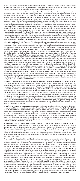program, each party grants to every other party actual authority to initiate any such transfer, to use any such ATM or debit card issued, or to use any Personal Identification Number ("PIN") issued in connection with any such card, telephone, or computer home banking or mobile access program.

A member in whose name a Joint or Multiple Party Account with Right of Survivorship is opened who designates other parties to own the Account jointly may, without notice to any other party of such Account and upon written notice to the Credit Union in such form as the Credit Union may require, change the form of the Account, add parties to the Account, or remove any parties from the Account. Any such action by that member will terminate any interest that the removed party may have in such Account. At its option, the Credit Union may require that an Account be closed and a new Account opened in lieu of permitting a member to remove any other party from the Account, or the Credit Union may require the consent of any or all parties prior to acting upon any written notification or instruction by a member to remove that party from an Account. No other party to a multiple party Account may make any such change, addition, or deletion. The parties agree that, subject to applicable law, the Credit Union may pay funds in any Joint or Multiple Party Account with Right of Survivorship to or on the order of any party, regardless of whether any other parties are incapacitated or deceased. The Credit Union makes no representation concerning the legal consequences or effectiveness of the survivorship rights described above, including any consequences arising out of the community property laws of any state and you agree to hold us harmless from any loss or liability in connection with any survivorship designation. You understand that you should consult with your attorney if you have any question regarding the validity, effectiveness, or fitness of any such survivorship designation for any purpose.

**3. Payable on Death (POD) Account.** A POD Account is an Account payable on request to one or more persons during their lifetimes and upon the death of the last of those persons, payable to one or more POD beneficiaries named in the Account Application. You agree that the persons named as POD beneficiaries in the Application, whether one or more are designated as POD beneficiaries. During your lifetime, all funds paid into or deposited into the Account designated, including any earnings thereon, shall be owned by you, and payment may be made upon your request, or the request of any Joint Owner. If there is more than one Owner, then during your lifetimes the provisions set forth above with regard to Joint or Multiple Party Accounts with Right of Survivorship shall control. Upon your death (the death of the last of you to survive), the ownership of the Account passes to the POD beneficiaries surviving, with right of survivorship. At our option, payment may be made at the request of any named POD beneficiary then living, and any payment made upon the request of any surviving POD beneficiary discharges us from any and all liability to that POD beneficiary and any remaining POD beneficiaries or their heirs, executors and personal representatives. You, your heirs, executors and personal representatives, agree to defend, indemnify and hold the Credit Union harmless from any claim asserted by any person or estate as a result of the payment of funds deposited in the Account designated. You understand and agree that a POD designation shall be ineffective with respect to any Account held in an Individual Retirement Account. You understand and agree, further, that a POD designation may be ineffective unless signed by all original parties to the Account. An agent acting under a power of attorney may not make a POD beneficiary designation on behalf of the principal. We make no representation concerning the legal consequences or effect of any POD designation, and you understand that you should consult with your attorney if you have any question regarding the validity, effectiveness, or fitness of any such POD designation for any purpose.

**4. Accounts for Trusts.** At our option, we may issue shares or receive deposits in a revocable trust subject to such membership requirements as we may impose from time to time in keeping with applicable law. If you request that we open an Account in the name of a trust, you agree that we are authorized to release the funds in any such Account upon the signature of any Trustee. You agree that if we make payment to any Trustee or Successor Trustee, or at the direction of any one of the Trustees or Successor Trustees named, that payment shall be valid and shall discharge us from any liability for the sums paid. Any Trustee authorized to sign on any such Account shall be subject to the terms and conditions set forth in this Account Agreement and any other Agreement governing any such Account. You agree that we shall have no fiduciary responsibility or obligation in connection with any such Account beyond our obligations set forth in this Agreement, and that we shall serve solely as a depository for the trust funds. You and any Trustee agree to save, indemnify, defend and hold us harmless from any claim, demand, suit or other charge by any person arising out of or resulting from the establishment, maintenance, and transaction of any business related to the trust and any Account established for the trust.

**5. Uniform Transfers to Minors Accounts.** At our option, we may issue shares and accept deposits in Accounts established by a custodian under the Texas Uniform Transfers to Minors Act (TUTMA). A TUTMA Account is owned by the minor, and amounts deposited into the Account constitute an irrevocable gift to that minor. The custodian named is the sole party entitled to access the Account for the minor's benefit. We have no duty to (i) determine if the person designated or acting as custodian has been duly designated, (ii) determine if an act of the custodian is in accordance with or authorized by the Texas Uniform Transfers to Minors Act, (iii) question the validity or propriety of any instrument or any instructions executed or given by a person acting as a donor or custodian or (iv) oversee the application by a custodian of money or other property paid or delivered to the custodian.

**6. Minor Accounts**. We may open a Savings, Checking, or other Account for a minor, receive payment or pay withdrawals on the Account by or for a minor, and act in any other matter on the order of the minor without regard to the minor's capacity, and we are discharged from liability to the extent of any such actions. We may require that certain minor Accounts be jointly owned with an adult 18 years of age or older. Unless a parent or guardian is a Joint Owner on a minor Account, the parent or guardian shall have no rights to access or obtain information about the Account. Even if a parent, guardian, or another adult is a Joint Owner on a minor Account, the minor as an Account Owner has the right at any time to withdraw the Account funds and close the Account.

**7. Accounts for Guardianships and Estates**. At our option, we may accept deposits in the name of (i) a ward on whose behalf a guardianship has been established under applicable law, or (ii) the estate of a deceased member being administered under applicable law. Any guardian or estate representative (whether executor, administrator or otherwise) authorized to sign on any such Account shall be subject to the terms and conditions set forth in this Agreement and any other agreement governing any such Account. You agree that we will have no fiduciary responsibility or obligation in connection with any such Account beyond our obligations otherwise set forth in this Agreement or other applicable agreement, and you agree that we will not be liable for any loss occasioned by the fraud, negligence, or misapplication of funds by the guardian or estate representative. If we are presented with Letters of Guardianship, Letters Testamentary, or Letters of Administration valid on their face, you agree that we will have no further duty to (i) determine if the person appointed guardian or estate representative has qualified or continues to be qualified as guardian or as estate representative, (ii) determine if an act of the guardian or estate representative is in accordance with or authorized by the Texas Probate Code or other applicable law, (iii) question the validity or propriety of any instrument or any instructions executed or given by a person acting as a guardian or estate representative, or (iv) oversee the administration by a guardian or estate representative of money or other property paid or delivered to him or her. You agree that we may rely upon Letters of Guardianship, Letters Testamentary, or Letters of Administration that are valid upon presentment, that we may continue to rely upon the same without inquiring into their expiration or renewal, and that we may assume their renewal unless notified in writing to the contrary. Further, you agree that we will have no obligation to recognize or honor any such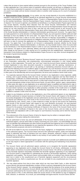Letters that we know to have expired without renewal pursuant to the provisions of the Texas Probate Code or other applicable law. If we receive notice of expiration without renewal, we will have no obligation to honor any check that is presented for payment or to honor any requests for withdrawal of funds from the Account of a ward or an estate until we receive renewed Letters or another order issuing out of a court of competent jurisdiction.

**8. Representative Payee Accounts**. At our option, we may accept deposits in Accounts established in a member's name and for the member's benefit by an individual appointed as a Social Security Administration or Veterans Administration "Representative Payee." Funds in a Representative Payee Account are owned by the member beneficiary. Only the Representative Payee, however, shall have direct access to the funds on deposit. If an Account is opened, you (whether as beneficiary or as Representative Payee) agree that we may accept deposits, including direct deposits from the Social Security Administration and Veterans Administration, that we may permit withdrawals from the Account by the Representative Payee through such means as we may prescribe from time to time, and that we may restrict access to the Account by the beneficiary. You agree that the Representative Payee alone will be responsible for compliance with the Rules of the Social Security Administration or Veterans Administration governing such Accounts. You agree that if we make payment to or at the direction of a Representative Payee, any such payment shall be valid and shall discharge us from any liability for the sums paid. You agree that we may rely upon any appointment of a Representative Payee that is valid on its face, that we will have no fiduciary responsibility or obligation in connection with any such Account beyond our obligations otherwise set forth in this Agreement, and that we will have no duty to oversee the application by a Representative Payee of any funds withdrawn from the Account. You agree that, if any deposit to an Account is subsequently reversed, whether by the Social Security Administration, Veterans Administration, or otherwise, we may transfer funds in other Accounts held by the beneficiary or the Representative Payee in order to cure any overdraft that may occur as a result of such reversal. You agree to save, indemnify, defend, and hold us harmless from any claim, demand, suit, or other charge by any person or entity arising out of or resulting from the establishment, maintenance, and transaction of any business related to a Representative Payee Account or any other Account designated for the receipt of government benefits.

### **9. Business Accounts**

In this Agreement, the term "Business Account" means any Account maintained or opened by or in the name of any corporation, partnership, sole proprietorship, unincorporated association or club, limited liability company, or other organization. The words "you" and "your" mean the Account Owner named on the Business Account Application or any other document executed in connection with the opening, maintenance, or modification of any Business Account with us. By opening or maintaining a Business Account with us, you agree that the following terms and conditions apply to and govern any such Business Account in addition to the other terms of this Agreement. In the event of a conflict between the terms in this section and the terms in other parts of the Membership and Account Agreement, the terms and conditions herein shall control.

- 1. You expressly represent that (i) the Account Owner named on any Application is duly organized, validly existing, and in good standing under the laws of the state where organized and has filed Articles of Incorporation, Certificates of Limited Partnership, Assumed Named Certificates, or similar document, in a manner sufficient to ensure that no other person or entity shall conduct business under the same name or any name deceptively similar to that of the Account Owner, (ii) each officer, partner, agent, representative, or other party who signs on any Application as an authorized signer is qualified and authorized to sign in the capacity represented and is empowered to so act on behalf of the Account Owner named, and (iii) the Account Owner named on any Application is either presently a member of the Credit Union or is eligible to apply for membership in keeping with the membership requirements set forth below, or otherwise qualified to maintain Credit Union Accounts.
- 2. Subject to any limitations set forth on the Applications, any of the authorized signers on any Application shall be authorized to transact business on behalf of the Account Owner with respect to the Business Account(s) designated on the Application and are authorized to (i) close any such Business Account(s), (ii) deposit and withdraw any of the funds of the Account Owner in such Business Account(s), whether represented by cash, checks, notes, or other evidences of debt, (iii) sign for and receive the statements and records of the Account Owner with respect to any such Business Account(s), (iv) stop payment against checks or other payment orders, (v) make withdrawals or transfers from any such Business Account for the purpose of purchasing Certificates of Deposit in the name of the Account Owner and to redeem any such Certificate of Deposit in the name of the Account Owner, and (vi) make any other agreements and stipulations with us with respect to such Business Account(s) and to bind the Account Owner thereto.
- 3. The endorsement of the Account Owner of items for deposit may be written or stamped without designation of the party making the endorsement.
- 4. We are authorized to honor any and all withdrawals of the Account Owner's funds by any one of the authorized signers, and we need make no inquiry concerning any such action. You acknowledge that you may not stipulate that withdrawals and other actions be performed and signed by two or more authorized signers. You agree that any designation by you requiring the signatures of two or more persons is for your internal business purposes only and is not binding on us.
- We will not be liable for any loss occasioned by the fraud, negligence, or misapplication of funds by any of the authorized signers. The Account Owner and all of the authorized signers, jointly and individually, agree to indemnify and hold us harmless from any claims, demands, expenses, losses or damages, resulting from or directly or indirectly related to any activity of such parties with regard to any Business Account maintained with us.
- 6. TheAccount Owner and the authorized signers agree to execute or provide such additional documentation as we may require or deem appropriate in connection with the opening and maintaining of any Business Account.
- 7. The Account Owner and all authorized signers authorize us to recognize the facsimile signature(s) appearing on any Application and to charge the Account Owner for all checks, withdrawals, or similar orders drawn on Business Accounts maintained by the Account Owner. We will be so authorized so long as any facsimile signature reasonably resembles the facsimile signature appearing on any Application. The Account Owner is responsible for maintaining the security of all facsimile signatures, check writing equipment, and supplies. The Account Owner must promptly notify us in writing of any checks that have been lost or stolen or the unauthorized use of facsimile signature equipment and the circumstances surrounding the loss, theft or unauthorized use. We are not liable for any unauthorized use of any such facsimile signature.
- 8. We may adopt policies from time to time under which we may issue Debit Cards, or other electronic access devices and personal identification numbers (PINs) to persons designated by the Account Owner, at the Account Owner's request. You acknowledge and agree that the issuance of an access device or PIN in connection with a Business Account affords ready access to the Business Account by the person or persons authorized by the Account Owner, as well as other persons who are provided access to the access device or PIN, or who otherwise obtain the access device or PIN whether by way of negligence, theft, collusion, or otherwise. As a result, you acknowledge and agree that the Account Owner and the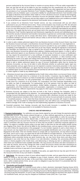persons authorized by the Account Owner to receive an access device or PIN are solely responsible for their use and that we will not be liable for any loss resulting from the unauthorized use of the access device or PIN. You agree that, except as otherwise provided in any other agreement we have with you, the provisions of our consumer Electronic Fund Transfers Regulation "E" Disclosures addressing error resolution and any limitation upon a consumer's liability for unauthorized electronic fund transfers shall not apply to electronic fund transfers when made to or from a Business Account. Except for the foregoing, electronic fund transfers to and from a Business Account are generally subject to the Electronic Funds Transfer Regulation "E" Disclosures and are fully subject to any additional terms and conditions provided to you at the time your request for the electronic fund transfer service is approved.

- 9. If you contract for an Electronic Fund Transfer service, we may communicate with you and others authorized to use your PIN from time to time. Those communications may include your PIN. We will send those communications to your address as reflected in our records, and you agree that we have no liability to you or to any other person if our communication to you is stolen or otherwise intercepted by any person at any time. You agree that the terms set out herein and in the remainder of the Account Agreement and the Electronic Fund Transfers Agreement and Disclosures regarding the security and safekeeping of your PIN and the security of electronic fund transfers transactions in general are commercially reasonable and you agree to be bound by and to comply with these terms. Authorizations given to other persons are considered unlimited in amount and manner until you notify us and we have had a reasonable opportunity to act on your notification.
- 10. In order to add or delete authorized signers from any Business Account, (i) the Account Owner may close the Business Account and open a new Business Account through the execution of a new Applicationor, (ii) the Account Owner may modify the Business Account to provide for any such addition or deletion by completing a new Application or such other form as we may require, bearing the signatures of all persons who thereafter are authorized to sign on behalf of the Account Owner. We reserve the right to require that a new Business Account be opened when adding or deleting authorized signers. In order to add or delete authorized signers on any Business Account, whether by way of Account closure or modification, we may require the presentment of a new certificate of corporate resolution or a new certification and authorization in the case of a sole proprietorship, partnership, association, or other business entity, specifying the action to be taken and setting forth those individuals who thereafter will be authorized to transact business on behalf of the Account Owner. You acknowledge and agree that, if the Account Owner elects to add or delete authorized signers by way of Account modification rather than by closing the Business Account(s), we may not be able to verify effectively whether an authorized signer signs any check presented, and you agree that we are not required to examine instruments presented. In the event of a Business Account modification, you agree that the Account Owner is solely responsible for denying any deleted signer access to the Business Account and that we will not be liable for the payment of checks or orders signed or made by any deleted signer.
- 11. A Business Account may not be established at the Credit Union unless there is an Account Owner who is a member of the Credit Union for a minimum of six (6) months. A business may be eligible for Credit Union membership if it is listed in our field of membership or physically located within our community field of membership. Otherwise, for sole proprietorships, the individual owner(s) must be a member of the Credit Union for a minimum of six (6) months. For corporations, all of the corporate shareholders must be within our field of membership. For partnerships, all of the partners must be within our field of membership. For unincorporated associations, limited liability companies, and other businesses and other businesses and organizations, all of the members of any such association, organization, or company must be within our field of membership. Different requirements may apply for other types of business entities.
- 12. Business Accounts are subject to the fees set forth in the Truth in Savings Fee Schedule, which is incorporated into this Agreement by reference. You acknowledge and agree that any additional Truth-in-Savings Account Disclosures provided to you in connection with a Business Account are made for the benefit of natural-person members of the Credit Union who hold an Account primarily for personal, family, or household purposes. To the extent that those disclosures are also accurate with respect to Business Accounts, they are provided for informational purposes only and without any corresponding intent to extend coverage of the Truth-in-Savings Act and implementing regulations to Business Accounts.
- 13. Overdraft protection from Savings Accounts and line-of-credit Accounts is available for Business<br>Accounts. Our courtesy pay product is not available for Business Accounts.

### **CHECKS AND WITHDRAWALS**

**1. Payment Authorization.** You authorize us to pay checks signed by you and charge the payments against the applicable Account. Only checks ordered through us, or other methods approved by us may be used to withdraw funds from your Account. You agree that it will be your responsibility to verify the accuracy of information appearing on any checks, deposit slips, or other forms, and you agree that we will not be liable for any printing errors on any such forms. All checks, withdrawal forms, deposit slips, and transfer instructions used in connection with any Account must be on forms that we provide or otherwise expressly approve in writing. You agree to complete checks using a non-gel, black or dark blue ink that will readily transfer during any imaging of the check. We will not be liable for any resulting losses, and you agree to hold us harmless, if you fail to follow the requirements in this paragraph. If a non-member requests to cash a check drawn on your Account, we may require the non-member to present acceptable identification and, at our option, place a fingerprint on the check. It the non-member refuses to comply with our requirements, we may refuse to accept the check, and in such a case, you agree that we will not be liable for wrongful dishonor. In the event that the applicable Account has sufficient funds on deposit to cover one or more, but not all of the checks or other withdrawal orders presented during any given business day, we may honor those items and allow those withdrawals in any order that we may choose in our sole discretion, including, first, processing withdrawal orders or checks payable to the Credit Union, and dishonoring or refusing any item or withdrawal order for which there are insufficient funds available thereafter. We may process all checks and other transactions in any order we choose, and we may change the order in which we process checks and other transactions at any time without notice to you. To avoid fees, you should ensure that your Account contains sufficient available funds at all times to pay each of your transactions.

In making distributions upon the death or disability of any party, you agree that we may rely upon the form of the Account at the time of any such death or disability.

**2. Stale Items.** We may pay a check of yours without regard to its date, and you agree that we will have no liability for doing so. We are under no obligation to pay a check, however, which is presented for payment more than six (6) months from its date. In the event that a check drawn on your Account is payable, by its terms, within a stated period of time, we are under no obligation to pay that check if it is presented after the expiration of that time period.

### **3. Overdrafts and Overdraft Protection.**

**a. What is an Overdraft?** An overdraft occurs when a check, electronic Automated Clearing House (ACH), ATM or debit card, or other payment or transaction you have made is presented to the Credit Union for payment but sufficient funds are not available in your Checking Account or Money Market Account (collectively, Checking Account) to pay the transaction. In such a case, the payment would normally be returned to the payee or denied for insufficient funds, and you may be charged an Insufficient Funds (NSF) fee. If you have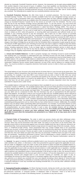elected our Automatic Overdraft Protection service, however, the transaction can be paid using available funds from another deposit or loan account of yours. In addition, if you have qualified, our discretionary Non-Return Privilege service may also provide an additional layer of overdraft protection. You may incur fees as set forth in our Fee Schedule for using our overdraft protection services, so you should always take care to avoid creating any overdraft. The following terms explain how our overdraft protection services work.

**b. Overdraft Protection Services**. We offer three levels of overdraft protection. The first level is called Overdraft Savings Transfer. This service transfers available funds from your designated savings account, or line of credit, to pay a transaction when your Checking Account does not have sufficient available funds. We determine whether sufficient funds are available when the transaction is presented to us for settlement. We may charge an Overdraft Protection Transfer fee for this service as set forth in the Fee Schedule. This fee is less than the fee for the Non-Return Privilege service described below. To use this service, you must enroll and designate the priority of your Automatic Overdraft Protection sources on the Application or other form we have designated. The second level of overdraft protection is called Non-Return Privilege (NRP). This service is extended to all eligible members. NRP is provided pursuant to our discretionary Non-Return Privilege Policy as a non-contractual courtesy. It is not a line of credit and it is not guaranteed. However, in the event you write a check or initiate an ACH, online bill payment, or recurring debit card transaction and sufficient funds are not available in your Checking Account to pay the transaction, and if there are no other sources of overdraft protection available, we will strive to pay your reasonable overdrafts if your Account is in good standing and you continue to meet eligibility requirements. The third level of overdraft protection extends the NRP service to your ATM and everyday (one-time) debit card transactions. To use this service, you must affirmatively opt-in to NRP for ATM and everyday debit card transactions by contacting us. Both levels of the NRP service may charge a Non-Return Privilege fee as set forth in the Fee Schedule when a transaction is paid using the service. The amount of NRP approved for your Checking Account may vary and is subject to change at any time based on certain membership factors such as age of Account, deposit activity and history, and overdraft activity and history, including repayment history. If you no longer want an overdraft protection service in which you are enrolled, you may opt-out of any level at any time by calling or writing to us. Please refer to our Non-Return Privilege Policy for eligibility requirements and additional information about the NRP service.

**c. Actual and Available Balances**. In order to properly manage your Checking Account to avoid overdrafts and resulting fees, it is important to understand that your Checking Account has two kinds of balances: the "actual balance" and the "available balance." Funds used to pay your transactions may be limited based on the available balance. We use the available balance to determine if your Account will be overdrawn. You can check the amount of your actual balance and your available balance when you review your Account online, using our Automated Telephone Service system (audio response), at most ATMs, and by calling us or visiting a branch office. You must be enrolled in a respective electronic fund transfer service in order to check your balance with that service.

The actual balance of your Account is the actual amount of money that is in your Account at any given time. The actual balance reflects transactions that have been posted to your Account. It does not reflect transactions that are pending. For example, if you have \$50 in your Account and you write a check for \$40, then your actual balance remains at \$50 until the check is presented and posted to the Account. The actual balance does not reflect the pending check while it is in transit to be settled with us. The actual balance also does not reflect other items that have not yet been posted to your Account, such as a remotely deposited check that has been submitted for deposit and is under review.

The available balance is that part of the actual balance that is available for you to use without incurring Overdraft Protection Transfer or NRP fees. The available balance takes into account holds placed on Account funds such as check deposit holds under our Funds Availability Policy, holds for pending debit card transactions that have been preauthorized but not yet posted, and legal holds. For example, if you have \$50 in your Account and you use your debit card at a restaurant for \$20, then the merchant may ask us topreauthorize the \$20 payment. When that happens, we will place a hold on your Account for \$20 and your available balance will be reduced to \$30, even though your actual balance will remain at \$50 until the transaction posts or the hold is released. Funds subject to a hold are not available to pay checks, debit card, online bill payments, ACH, and other transactions. Please refer to the Electronic Fund Transfers Agreement and Disclosures for more information about debit card preauthorization holds. You should also keep in mind that the available balance may not always reflect all outstanding pending payments such as checks that you have written that are in transit. Additionally, the available balance may not always reflect outstanding debit card transactions. For example, if a merchant obtains our prior authorization but does not submit a one-time debit card transaction for payment within three business days of the preauthorization, we must release the hold. In such a case, the available balance will not reflect the outstanding transaction until we receive it and post it to the Account. **As a result, you must carefully track of all of your transactions to ensure you have sufficient funds available in your Checking or other applicable Account when the transactions are presented to us. Failure to do so may cause you to incur overdraft fees.**

**d. Payment Order of Transactions**. The order in which we process checks and other withdrawal orders (collectively, "Items") may also affect the total amount of overdraft and other fees that may be charged to your Account. Items may not be processed in the order made. Our policy is to pay Items as we receive them. We typically receive Items to be processed against your Accounts multiple times per day in what are referred to as presentment files. Each presentment file contains a large amount of a specific type of Item (for example, checks, ACH, or ATM/Point-of-Sale (POS)). These presentment files may contain multiple Items to be processed against your Account. In those cases where multiple Items are received at the same time, the Items will be paid agamety our recedent in these sases where manple helme are received at the came anne, the helme will be paid as presented in the file received. Checks are paid in order of presentment from file. We will post credits from ACH files first, then ACH debits are paid in the order they are presented. ATM/POS Items are paid in the order they are presented. Transactions performed in person, such as withdrawals or checks cashed at our branch offices, are generally paid when they are performed. Please refer to the Payment Authorization section for additional terms regarding payment order of Items.

**e. General.** You agree to maintain sufficient available funds in your Accounts at all times to pay any withdrawal order (whether oral, written, or otherwise) or other Item presented for payment against the applicable Account. We are under no obligation to pay any order or Item (i) the amount of which exceeds the available balance in the Account upon which the order was made or the Item was drawn, or (ii) that would exceed limitations imposed upon the applicable Account under our policies and procedures or under applicable law or regulation, including Federal Reserve Board Regulation D. In the event that we do pay any such order or Item, we will not waive our right to dishonor any subsequent orders or Items presented. If we do pay an order or Item, the amount of which exceeds the available balance in the Account upon which it is drawn, or if any Item deposited to your Account is subsequently returned and charged back to your Account creating an overdraft, you agree to pay us immediately the amount by which that Account is overdrawn together with any fees that we might assess. You also authorize us to deduct any overdraft from your next deposit (including a direct deposit of Social Security or other government benefits), to withhold or to transfer funds from any other Account to which you are a party in amounts sufficient to cover any overdraft and resulting overdraft fees, or to use any other collection remedy available to us at law.

**4. Transaction/Transfer Limitations.** On Share Savings Accounts, during any month, you may make no more than six (6) withdrawals or transfers to another Credit Union Account of yours or to a third party by means of a pre-authorized, automatic, or computer transfer, or telephonic order or instruction. There is no limit on the number of transactions you make in the following manner: (1) transfers to any loan account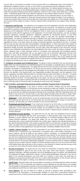of yours with us, (2) transfers to another Account of yours with us or withdrawals when such transfer or withdrawal is initiated in person, by mail, or at an ATM. If you exceed the transfer limitations set forth above, your Account may be subject to closure by the Credit Union. For Money Market Accounts, you may make no more than six (6) withdrawals/transfers monthly (including, but not limited to, withdrawals made by Automated Clearing House (ACH), telephone, Internet or wire, check, draft, debit card, or similar order).. Overdraft protection will not be offered or allowed on your Money Market Account. If transfer request would exceed the transfer limitations set forth above in any statement period, we may refuse or reverse the transfer, and suspend or close your Account, and we may impose a charge. If you continue to exceed any transfer limits on your Account after the Credit Union has notified you of such transfer violation, your Account will be subject to closure. Funds on deposit will be transferred to your regular Share Savings Account.

**5. <u>Signatures and Records.</u>** You authorize us to recognize any of the signatures set forth on the Application<br>in the payment of funds or the transaction of any business for your Accounts. You authorize us to pay a check presented for payment even though the signature or signatures thereon do not correspond exactly with the signatures on the Application. We are not obligated to honor a check unless the signature or signatures do correspond exactly with the signatures on the Application. For all Credit Union business, we may recognize electronic signatures, facsimile signatures, signatures imprinted by mechanical devices, or any other authentication method acceptable to us, including orders to pay that are received electronically or telephonically. You agree to indemnify and hold us harmless from any losses resulting from our honoring an item which bears or purports to bear a facsimile signature resembling a facsimile signature on file with us, regardless by whom or by what means the actual or purported signature was affixed to the item. You agree that we may act upon and rely upon documentation, correspondence, or other instructions with respect to your Accounts that we receive by way of electronic or facsimile transmission, including Account Agreements, requests to modify Accounts, loan agreements, and any other order with respect to your Accounts, and you agree to such verification procedures as we may implement from time to time. By using a computer, mobile device, signature pad, or other electronic device in connection with authorizing and completing deposit, share, loan, and other transactions with us, you agree to the use of electronic signatures and any such signature of yours will be deemed your handwritten signature for all purposes. You agree that we may maintain copies of Account records, including copies maintained electronically, in lieu of any original and that any such copy will be considered and original record for any purpose, including admissibility in evidence as an original record before any court or administrative agency.

**6. Postdated, Incomplete and Conditional Items.** You agree to hold us harmless from any and all loss and liability which you may incur due to our inadvertent payment of incomplete or postdated items, items endorsed "without recourse", or conditional items. You agree that we will not have any duty to discover or comply with postdated, incomplete or conditional items, nor will we have any duty to comply with any notice of postdating we receive. You agree that we may disregard any information on any check or draft other than the amount of the item, the identity of the drawee bank, any magnetically encoded information, and the signature of the drawer, regardless of whether that information is consistent with any other information on the item. You agree that we may decline to accept, process, or pay any item or order that, in our estimation, is ambiguous or otherwise unclear in its terms. You also agree that, at our option, we may use our best efforts to resolve any such ambiguity and you agree to release and hold us harmless from any and all loss and liability that we may incur or that may arise in connection with our attempts to resolve any such ambiguity.

### **7. Wire Transfers, Automated Clearing House (ACH), and Other Payment Order Transactions.**

- (a) **Governing Regulations.** If you send or receive a wire transfer, Fedwire may be used. Federal Reserve Board Regulation J is the law that covers transactions made over Fedwire. If you are a party to an Automated Clearing House (ACH) entry, you acknowledge and agree that any such entry will be governed by the National Automated Clearing House Association (NACHA) Operating Rules, the Rules of any local ACH, and the Rules of any other system through which the entry is made. Other payment orders you make may be governed byArticle 4A of the Texas Business & Commerce Code.
- (b) **Notification.** Under NACHA Rules, we are not required to give you next day notice of the receipt of an ACH entry and we will not do so, nor will we give you next-day notice of the receipt of a wire transfer. However, we will notify you of these transfers in your Account Statement.
- (c) **Provisional and Final Payment.** If we credit your Account for an ACH entry or a wire transfer, the credit is provisional until we receive final settlement for the payment order. If we do not receive final settlement, or if we credit your Account by mistake, we are entitled to a refund of the amount credited and you agree that, at our option, we may reverse the credit or require that you reimburse us by way of direct payment.
- (d) **Identifying Account Numbers.** You agree that we can rely upon any identifying Account number given to us in connection with any ACH, wire transfer, or other payment order, even if the number identifies a person different from the named beneficiary or a financial institution different from the named financial institution. You agree that neither we nor any other institution involved in the transaction has a duty to determine whether the number given matches the intended beneficiary or the named financial institution. If we receive a payment order for you that does not specify an Account suffix, you agree that we may deposit the payment into any Account of yours with the same member Account number as that appearing on the payment order, including a Multiple Party Account.
- (e) **Liability; Interest Payable.** We may be responsible for your direct expenses if we fail to exercise ordinary care in carrying out your instructions in connection with a wire transfer transaction. In no event, however, will we be liable for any special, indirect, exemplary, or consequential damages (including lost profits) of any kind. We are not required to pay interest on any amount we may owe to you due to an unauthorized wire transfer arising out of our error unless you exercise ordinary care to discover the unauthorized transfer and promptly advise us of the relevant facts within the time period set forth below in the Account Statements paragraph. Any rate of interest that we might be obligated to pay to you as a matter of law for a delay or incorrect transfer arising out of our error will be the lower of the federal funds rate at the time of the correction or the dividend or interest rate that we pay on the Account to or from which the funds transfer should have occurred.
- (f) **Security Procedures.** You agree that we may verify the authenticity of payment orders using our security procedures in place at the time of any such order, which may include a combination of signature verification, call back procedures, the use of identifying words or numbers, and identification via employee ID badge, valid driver's license, or other photo identification document. If you do not agree to our security procedures, you must notify us in writing. In such event, we shall have no obligation to accept any payment order from you or other authorized parties on the Account until you and the Credit Union agree, in writing, on an alternate securityprocedure.
- (g) **Cutoff Times.** Payment orders and communications canceling or amending payment orders received after (i) 4:15 p.m. CST for domestic wire transfers on each weekday we are open that is not a holiday may be treated as having been received on the next banking day and processed accordingly. We may post additional cutoff times for other types of funds transfers in ouroffices.
- (h) **Force Majeure.** We are not liable for a failure to execute a payment order according to your instructions if an interruption in communication facilities or some other circumstance beyond our control such as fire or flood prevents the transfer, despite reasonable precautions we have taken.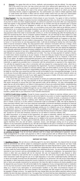General. You agree that only our forms, methods, and procedures may be utilized. You also agree that in the event of an error, we may correct any such error without prior approval by you. If we are required to reimburse the U.S. government for a benefit payment made to your Account by direct deposit, we may deduct all or part of the amount owed from any Account on which you have an ownership interest, subject to applicable law. Any authorization you make to initiate paperless debit or credit entries will remain in effect until we receive written notice from you that your authorization has been revoked in a manner and in time to provide us with a reasonable opportunity to act on it.

**8. Stop Payment.** You may stop payment of items drawn on your Accounts. You agree to hold us harmless from any claim, loss, damage or expense incurred, including attorney's fees, by virtue of our refusing payment of any item on which you have stopped payment, as well as for payment of any item after your stop payment order has expired. A stop payment order will be effective for six months and may be renewed upon a request made in writing to us. We are not obligated to notify you that a stop payment order has expired. A stop payment order, a renewal of any such order, or a revocation of any such order shall not be effective unless it is delivered to us in writing during regular business hours and we have had a reasonable opportunity to act on any such order, renewal or revocation. In addition, we will not be liable for the payment of an item over a stop payment order if the order is received after 10**:**00 a.m. on the next banking day after the banking day on which we received the item. Due to computer systems limitations, we can intercept an item subject to a stop payment order only if the precise amount, date, check number, name of payee and any other information that we may reasonably require is provided. If that information is not provided exactly as it appears on the item, we will not be responsible if we are unable to stop payment. If the order is made orally, we have no obligation to honor it. If we do honor an oral stop payment order, it will only be binding for twenty-four (24) hours after which it must be renewed in writing. Any stop payment order, renewal or revocation will incur a charge, which is set forth on the Fee Schedule. You agree that we may honor a stop payment order, revocation or renewal if made by the person who signed the check to be stopped or any other person who has signed the Application or is otherwise authorized to transact business relating to the Account. You agree that we will not be liable for any inadvertent payment of any item, notwithstanding a stop payment order, if we have used ordinary care and followed our usual practices in handling such an order. You may not stop payment of cashier's checks, or Credit Union checks issued by us at your request. In the event that you request that we stop payment of any cashier's check or Credit Union check, we shall be under no obligation to do so. However, in the event that, at our option, we agree to stop payment pursuant to your request, we may require that you provide us with an indemnity agreement and bond supported by such surety or sureties as we may deem sufficient, to indemnify us against any possible loss in connection with the presentment or payment of the original item. You will also be required to pay a fee in connection with any request for a stop payment order, which fee is set out on the Fee Schedule, which accompanies this Agreement. If an item is inadvertently paid over a valid stop payment order, due to our failure to exercise ordinary care, we will be liable to you for any loss you suffer<br>as a result. You agree that it will be your responsibility to establish any such loss. You agree that we wi be liable for more than your actual loss and that we will not be liable for any consequential damages. If we do re-credit your Account after paying an item over a valid stop payment order, you will take whatever action we deem necessary to transfer to us all of your rights against the payee or holder of the item and to assist us if we take legal action against the payee or any other person.

In the event that you instruct us to stop payment of certain pre-authorized debits you acknowledge and agree that, at our option, we may stop payment of all pre-authorized debits from your Account if we deem that action necessary to ensure that your stop payment order will be effective. You also acknowledge and agree that we will not be liable for our failure to stop payment of future pre-authorized debits, notwithstanding your stop payment order, if our failure is caused in whole or in part by the actions of the payee. You may not stop payment of transactions initiated through the use of a Debit Card or ATM Card used at an ATM or point of sale. For additional information concerning your right to stop payment of pre-authorized electronic fund transfers, please refer to your Electronic Fund Transfers Disclosures.

**9. DATCU Credit Union Liability.** Except for losses caused by our failure to exercise ordinary care or our failure to act in good faith, you agree that we will not be liable for any action or inaction regarding the payment or nonpayment of items, collection of items, other withdrawals, or transfer of funds, or advances of credit in satisfaction of overdrafts. The term "ordinary care" shall be construed in keeping with the definition of that term in Article 3-103 (a) (7) of the Uniform Commercial Code as amended in 1990. We will be deemed to have exercised ordinary care if we have observed reasonable commercial standards prevailing for financial institutions in the area where we are located. Subject to applicable law, you agree that we will never be liable for any indirect, special, or consequential damages arising out of or related to any of our obligations under this Agreement, even if we have been advised of the possibility of such damages. If we pay an item over a forged drawer's signature, we will not be liable for more than the face amount of the item, subject to applicable law. Except for our acts and omissions caused by our (a) failure to exercise ordinary care,

(b) willful misconduct, or (c) breach of this Agreement, you agree to indemnify, defend, and hold us and our officers, employees, and agents harmless from and against any losses, claims, or expenses, including attorney's fees and costs of litigation, arising out of or related to the services provided under this Agreement, subject to applicable law. You also agree to indemnify, defend, and hold us and our officers, employees, and agents harmless from any and all claims, expenses, losses, and damages arising out of our good faith reliance on any instructions provided by you. We will not be liable for the acts or omissions of a third party not within our control, and we will not be liable for any failure or delay in performance under this Agreement that is related to or caused by circumstances beyond our control.

**10. Cash withdrawals or payments at any DATCU branch may be restricted due to the limited amount of currency on hand.** If we do not have sufficient cash for a large cash withdrawal or payment, we may make arrangements for a later cash payment or offer to make payment with an Official Check. We assume no responsibility to provide personal protection for customers who elect to carry large sums of money off our premises.

### **DEPOSIT OF ITEMS**

**1. Handling of Items.** We act only as a collecting agent for any items deposited. Any deposit that we accept shall be provisional and will be subject to subsequent payment verification. Just because we have made funds from a deposited check or other item for withdrawal does not mean that the item is "good," has "cleared," or has been paid by the paying bank. It is possible that a deposited item will be returned unpaid months after we have made the funds available to you and you have withdrawn the funds. You are responsible for all items returned on your Account, and you acknowledge that no one, including our employees, can guarantee that a check or other item you deposit will not be returned. We are not responsible for any deposit or other transaction initiated by mail until the item is actually received. We will not be responsible for any deposit or other transaction made through the use of our night depository or any other unattended facility until the item or items are actually removed from the depository or facility by our personnel. We will not be responsible for any deposit or other transaction during the course of delivery to us by any courier or other third party until the item or items are actually received by our personnel. We have the right to endorse all checks payable to you for deposit into your Account. We will not be liable for the negligence of any correspondent bank or institution nor for any loss incurred in transit when items are forwarded to correspondents. We will not be liable for any delay as a result of any interruption of communication facilities or any other circumstances beyond our control. You agree to bear the risk of any change in the exchange rate with respect to any items which may be payable in foreign currency. You agree that we may charge back any item before payment without notice, whether the item has been returned or not. You agree that, if a check that has been deposited to your Account or cashed by you at the Credit Union is subsequently returned based upon a breach or alleged breach of any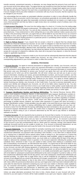transfer warranty, presentment warranty, or otherwise, we may charge back the amount of any such item to your Account at any time without notice. You agree that we may resubmit an item that has been returned to us for payment, and you waive notice that an item has been dishonored or charged back against your Account. We may charge a Return Payment Fee each time a resubmitted item is returned to us. You also agree that, if we are charged a fee by any other institution in connection with any of your Accounts, that fee expense may be charged to your Account.

You acknowledge that we employ an automated collection procedure in order to more efficiently handle the high volume of items we process, and for that reason, our procedures generally do not include sight-review of items. You acknowledge and agree that reasonable commercial standards do not require us to sight-review every check presented and that any failure to sight-review does not constitute a lack of ordinary care in the payment of any item.

**2. Endorsement Standards.** The area from the trailing edge of a check to 1.5 inches from the trailing edge of a check is reserved for the payee's endorsement. The trailing edge of a check is defined as the left side of the check looking at it from the front. You and all other endorsers must make your endorsement within this prescribed area. If any endorsement or other writing that you or any other endorser makes causes any error or delay in the processing of the item, you agree that you will be liable for any loss that we incur as a result of that delay or error, and you agree to hold us harmless from any such loss. We are not required to recognize endorsement restrictions limiting payment to a particular person or prohibiting further transfer or negotiation of the instrument and we will not do so.

**3. Right to Refuse Deposit.** If you request that we accept a check for a deposit that has already been deposited at a financial institution but returned, we are under no obligation to make the funds from the check immediately available after deposit. If we do, however, you agree to hold us harmless from any loss or liability, including consequential damages, attorney's fees, and expenses, which may arise because of our acceptance of the item. In any event, at our discretion, we may refuse any deposit, limit the amount that may be deposited, accept all or any part of a deposit for collection only, return all or any part of any deposit, or close the Account subject to applicable regulations.

**4. Deposit Verification.** If a deposit is made to your Account and we subsequently determine that the deposit or the amount of the deposit initially credited was incorrect, we may correct any such error and make corresponding adjustments to your Account in order to reflect the correction.

### **GENERAL PROVISIONS**

**1. Account Security.** You agree to exercise precautions to safeguard your identity, your Accounts, and your Account information. You agree never to give your personal information or Account information to anyone you do not know or whose identity you cannot verify. If you give your personal information to someone and that person uses your information to access your Account, you agree that such use will be deemed an authorized use for which you will be responsible. We will never contact you and ask you to give us your Account information, including user names, personal identification numbers, and Account numbers, over the telephone, by e-mail, or by text messaging. You agree not to disclose your personal information and Account information to unknown persons through these mediums for any reason. You agree to remain vigilant for phishing and other fraudulent scams and notify us promptly if you become aware of or suspect fraudulent activity involving your identity, your Accounts, or the Credit Union. If you fail to exercise reasonable care to protect your identity and safeguard your Accounts, we will not be liable unless required by law. You also understand that you may elect from time to time to use Credit Union or other parties' social media tools and sources, that there is no claim of privacy or privilege regarding information shared or discernible from such use or sharing; and the use of such information by us does not violate your privacy or other rights.

**2. Taxpayer Identification Number and Backup Withholding**. The Internal Revenue Service (IRS) requires most recipients of dividend, interest, or other payments to give taxpayer identification numbers to credit unions and other payers who must report the payments to the IRS. The IRS uses the numbers for identification purposes. Credit unions and other payers must be given the numbers regardless of whether recipients are required to file tax returns. Credit unions and other payers must generally withhold a percentage of taxable interest, dividend, and certain other payments to a payee who does not furnish a taxpayer identification number. Certain penalties may also apply. In the event that (a) you have been notified by the IRS that you are subject to backup withholding due to payee underreporting and you have not received a notice from the IRS that the backup withholding has been terminated or (b) you provide us with an incorrect taxpayer identification number, the Credit Union is required to withhold payment, in part, of dividends or interest owing to you in amounts determined by the IRS and to pay interest or dividends withheld to the IRS.

**3. Inactive Accounts.** We are required by law to preserve an Account that is inactive. An Account is inactive if for more than one year there has not been a debit or credit to the Account because of an act by you or your agent (other than the Credit Union) and you have not communicated with us. An Account is presumed<br>abandoned if (a) the Account has been inactive for at least five vears from the date of your last transaction .<br>aandoned if (a) the Account has been inactive for at least five years from the date of your last transaction on the Account or your last correspondence with us, (three years for checking, savings, and matured share certificate Accounts) and (b) we are unable to locate you. If an Account is presumed abandoned, we are required to report the abandonment and to pay the funds in the Account to the State of Texas.

**4. Account Statements.** You are responsible for promptly examining each Account statement. Except as may be provided in any other agreement we have with you, any objection that you may have respecting any unauthorized withdrawal, any payment order (including a wire transfer), or any other item or deposit shown on or missing from a statement will be waived unless made in writing to us, and received on or before the 60<sup>th</sup> day following the date the statement is mailed or otherwise made available, subject to applicable law. If you have an issue relating to a substitute check, you must notify us in writing within 60 days of the date we mailed or delivered the substitute check in question or the Account statement reflecting the posting of the substitute check, whichever is later. If you are unable to make a timely claim relating to a substitute check due to extraordinary circumstances, we will extend the time period. You agree that we will not be liable for any unauthorized withdrawal, any payment order, any forged, unauthorized, or altered item drawn on or deposited to your Account, any item with missing signatures or endorsements, any missing or diverted deposit, or any other error or discrepancy if you fail to notify us within the 60-day period, nor will we be liable for any forged, unauthorized, or altered item if the forgery or alteration is not readily ascertainable upon inspection. We also will not be liable for subsequent unauthorized withdrawals by the same wrongdoer if youfail to notify us of the first unauthorized withdrawal within the 60-day period, even if the subsequent unauthorized withdrawals are reported promptly. You agree that no legal action may or will be instituted by you against us seeking the recovery of any alleged loss as a result of the payment of a forged, unauthorized, or altered item or as a result of any missing or diverted deposit, or due to any other error or discrepancy, unless you have provided us with notice within the period prescribed above and any such legal action shall have been instituted within two years after the date that the statement containing any such error was mailed or otherwise made available to you. For consumer and business, organization, and association Accounts, please refer to your Electronic Fund Transfers Agreement and Disclosures to determine your notification obligations in the event of unauthorized electronic fund transfers or other errors in connection with such transfers.

Unless we adopt alternative procedures from time to time, checks drawn on your Account will not be returned to you and copies of checks will be made available to you upon your request, subject to any fee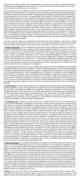disclosed on the Fee Schedule. That notwithstanding, you agree that your duty to examine statements promptly and your obligation to notify us in the event of any error is not waived or diminished in any respect by our retention of checks drawn on your Account.

You will receive an Account statement monthly for your Checking Accounts. You will receive an Account statement at least quarterly for your Savings Accounts. We will only mail or deliver an Account statement to the primary member. The primary member is responsible for providing the Account statement information to any other parties to the Account. You acknowledge that any person to whom the Account statement is provided will have access to all Account and loan information appearing on the Account statement. Unless we have agreed otherwise, we will mail your Account statement to the most recent address we have on file in our records for the primary member. You agree to notify us promptly if your name, address, or any other contact information such as your telephone or email address changes. You agree that we may change your address of record if we receive an address change notice from the U.S. Postal Service or if a third party in the business of providing correct address information notifies us that your address of record is inconsistent with the address the third party has for you. It is your responsibility to ensure that your statements are received, and you agree that we will not be responsible for the loss or theft of your statements. You agree to notify us immediately if you fail to receive a statement for your Checking Accounts monthly, or a statement for your Savings Accounts at least quarterly. It is important that you make note of the time that you regularly receive your statement. You agree to notify us immediately and in any event within 14 days of that time, if you fail to receive your statement.

You may choose to receive your statements online through our Online Banking. If you elect to receive electronic statements, we will notify you by email when your electronic statement is available and no paper statement will be issued. Electronic statements can be downloaded, saved, and printed for your records.

**5. Illegal Transactions.** We are prohibited from processing illegal transactions through your Accounts or through our relationship with you, including unlawful Internet gambling transactions. You may not use your Account in any manner or for any transaction that we believe poses an undue risk of illegality, and we may refuse to process or authorize any such use or transaction. If you engage in illegal transactions or unlawful activity, we also may impose restrictions on your Account, including restricting your access to Account services, or we may close your Account. If you use your Account relationship or engage in a transaction that is determined to be illegal, you will be liable to us. You waive any right to take legal action against the Credit Union for any illegal use or transactions and you agree to indemnify, defend, and hold harmless the Credit Union and any third-party processors from and against any lawsuits, other legal action, or liability that results directly or indirectly from such illegal use or transactions.

If you open a Business Account with us, you agree to certify to us at Account opening, and if requested annually thereafter, that (i) you do not engage in an Internet gambling business or (ii) you have legal authority to engage in an Internet gambling business. You agree to cooperate with us and provide any documentation we may reasonably require in order to substantiate your certification. You authorize us to investigate the Account Owner, its principals, and the authorized signers' background, including any current or previous financial institution and payment processor references. You also agree to notify us immediately if at any time your business or organization changes in any way that causes any prior certification to be inaccurate. If you certify to us that you have legal authority to engage in an Internet gambling business, you acknowledge and agree that we may refuse to open the Account or choose to close an existing Account in our sole and absolute discretion.

**6. Legal Process.** You authorize the Credit Union to recognize and honor legal process issued against you from any jurisdiction or state. You agree that we may debit your Account for charges and costs, including attorney's fees, in connection with legal review, negotiations, responses, appearances, and the production of statements, items or other documents in connection with subpoenas, court orders, levies, garnishments or other instruments of legal process, including attorney's fees, to the extent not otherwise prohibited by law. You agree that any levy, attachment, or garnishment against your Account will be subject to our contractual lien set forth below, and you authorize us to exercise that contractual lien whether or not any outstanding obligation is in default, subject to applicable law.

**7. Contractual Lien.** In addition to any lien we have as a matter of law, you grant us a contractual lien on any and all funds deposited or maintained in any Account in which you have an interest to the extent of any loans made to you and any other obligation of yours which you owe to us, which lien secures repayment of any such loan or obligation to the extent not prohibited under the Federal Truth-in-Lending Act. You are not giving a security interest in any shares or deposits in an IRA or any other Account, which if pledged, would result in the loss of special tax treatment under the Internal Revenue Code. You agree that, if any such Account is a Joint or Multiple Party Account, the entire amount in such Account shall be subject to our lien and shall secure the indebtedness of each Joint Owner owing to us. You agree that we may exercise our lien and apply the entire amount in any such Account against the indebtedness of any Owner owing to us notwithstanding the interest of any other Owner in the Account, and without notice. You agree to pay us for expenses and costs, including attorney's fees, which we may incur in enforcing our right to exercise our lien against the indebtedness of any one or more Owners, and you agree that we will not be liable for dishonoring checks or other items where the exercise of our lien or any right of offset which may exist results in there being insufficient funds in the Account to honor such items. If we cash a check for you and any such check is subsequently returned unpaid for any reason, you agree that we may charge the amount of the item against your Account. If we elect not to enforce our lien at any time, we do not waive our right to enforce that lien on subsequent occasions. The lien secures all direct and indirect indebtedness which you may owe to us whether as a borrower, co-maker, guarantor or otherwise. You agree that, with regard to any indebtedness owing to us secured by your principal residence, our lien shall not be construed so as to diminish or forfeit any security interest in or indebtedness secured by such residence, nor shall our lien be construed so as to permit the modification of any claim we may have under 11 U.S.C. §1322(b)(2), and to the extent that this lien is so construed, it is hereby waived and shall be void.

**8. Dispute Resolution.** If we suspect that fraudulent misconduct is or has taken place with respect to any Account, or if we are notified that a party to an Account has died or is incompetent to manage his or her affairs, or if we have been notified that a dispute exists between or among parties to the Account or third parties with regard to their respective interests in the Account, or if there are competing claims to funds on deposit, or if we are in doubt concerning the respective interests of any parties to an Account or persons claiming an interest in the Account, we may restrict withdrawals from the Account until we are satisfied that any obligation we may have at law and under this Agreement has been met or until any such dispute, doubt, suspected fraudulent misconduct or probate matter has been resolved by a court of competent jurisdiction or by written settlement agreement entered into by all parties to the Account and any third party making claim to funds in any such Account. You agree that we may recover any attorney's fees or costs expended in connection with the foregoing, which fees will be payable out of the Account made the subject of any such doubt, dispute, misconduct or probate proceeding or out of any other Account in which you have an interest. You agree, further, that we may impose withdrawal or other transaction limitations on any of your Accounts at any time, including your ability to access your Accounts electronically or otherwise, if you are delinquent under any obligation you owe to us.

**9. Notices.** If you provide us with your email address, you agree to accept notices from us electronically. In some cases, we may choose to provide notices in paper form even if you have provided us with your email address. Unless otherwise provided in any of our agreements or disclosures we have provided to you, any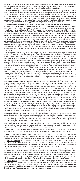notice you provide to us must be in writing and will not be effective until we have actually received it and have had a reasonable opportunity to act on it. Unless we specify otherwise in any notice we provide to you, notices from us will be effective when mailed or otherwise delivered or made available to you.

**10. Power of Attorney.** We may refuse to accept a power of attorney as permitted by applicable law. Further, even if we accept a power of attorney for a member's file or for a particular transaction that does not mean that we will honor it for a future transaction. We reserve the right to refuse a power of attorney at any time and for any transaction as permitted by applicable law, even if the requested transaction is expressly within the scope of the agent's powers. If we accept a power of attorney, we may continue to honor it until we receive written notification of it revocation from a competent authority and have had a reasonable time to act on it. We may inform any Joint Owner(s) of the use of a power of attorney on your behalf.

**11. Withdrawal of Services.** In the event that any Credit Union member becomes delinquent on an obligation to the Credit Union, causes a loss to the Credit Union, or makes known his or her intention to cause a loss to the Credit Union, whether by way of loan default, Account overdraft, discharge in bankruptcy or otherwise, or in the event that any Credit Union member has been abusive in the conduct of his or her affairs with the Credit Union, it is the policy of the Credit Union to withdraw member services otherwise extended to that member including, but not limited to, the right to maintain accounts at the Credit Union andthe availability of electronic fund transfer services such as preauthorized transfers, telephone, computer, and mobile access services, and Debit Card services, and you agree that we may do so. Any electronic access restrictions we may impose under these circumstances may apply to all of your Accounts. The Credit Union may also withdraw additional member services when it has a rational basis for doing so. Under certain circumstances, services may be reinstated if any delinquency or loss caused to the Credit Union is subsequently cured. To the extent allowed by applicable law, regulations, and the Credit Union's Bylaws, your Credit Union membership may be terminated if you cause a loss to the Credit Union or for other good cause. Your membership may also be terminated if you do not maintain the minimum qualifying account balance required for Credit Union membership.

**12. Closing the Account.** Any Owner of a Single Party, Joint or Multiple Party with Right of Survivorship, Payable on Death, or Minor Account may close the Account at any time. The Trustee, Custodian, or other authorized signer for a Trust, TUTMA, Guardianship or Estate, Representative Payee, or Business Account may close the Account at any time. Your right to close an Account is subject to any statutory or contractual lien existing in the Credit Union's favor and any legal process levied against any such Account. The Credit Union may close an Account at any time and disburse funds on deposit in any such Account to the Owners of the Account or in satisfaction of any obligation owing to us, in any manner it deems appropriate, if (i) any of the events set forth in the preceding paragraphs 8 or 11 should arise, (ii) the Credit Union believes that it may suffer a loss if the Account is not closed or we believe that the volume of Account activity exceeds that which we can reasonably and safely process, (iii) we determine that any member or Joint Owner of the Account or any party claiming an interest in the Account has been abusive in the use of the Account or in the conduct of his or her affairs with the Credit Union, or (iv) our attempts to verify your identity have failed, (v) you do not cooperate with our reasonable requests in connection with the maintenance of your Account, or (vi) there has been a change in Account Ownership or a change with regard to the persons authorized to

sign on the Account.

**13. Death or Incompetence of Account Owner.** You agree to notify us promptly if any Account Owner or authorized signer on your Account dies or is declared incompetent by a court. We may continue to accept deposits to an Account, to pay items drawn against an Account, to pay other payment orders against an Account, and allow any other transactions with respect to an Account until we are notified of an Account Owner's death or of an adjudication of incompetence and we have a reasonable opportunity to act upon any such notice. Subject to our policies and procedures, and subject to any separate agreement we may enter into with any surviving Account party, once we are notified of a member's death or adjudicated incompetence, we may pay items drawn against the Account or other payment orders authorized by the deceased Account Owner for a period of 10 days after the Account Owner's death unless we are ordered to stop payment by a person claiming an interest in the Account. We may require any person claiming an interest in the Account to indemnify us against any losses arising out of the payment of any such claim, and this Agreement will be binding upon the heirs or legal representatives of any deceased Account Owner or any Account Owner who is adjudicated incompetent. We may continue to pay interest or dividends on an Account following the death of an Account Owner. If any surviving Joint Owner is a member of the Credit Union, we may require that the Account be closed and the funds transferred to the surviving Joint Owner's Account. If any deposit such as salary, pension income, or Social Security benefits is posted to an Account after an Account Owner has died, you agree that we may reclaim the deposit and return it to the sender.

**14. Attorney's Fees.** In addition to any other rights we may have at law or under this Agreement to recover fees and costs, and to the extent permitted by applicable law, we shall be entitled to recover reasonable attorney's fees and costs expended in connection with the enforcement of this Agreement and the defense of any rights we may have under this Agreement, and you authorize the Credit Union to deduct any such fees and costs from your Account without further notice to you.

**15. Amendment.** You agree that we may add to, change, or delete any of the terms of this Agreement, the Truth-In-Savings Rate and Fee Schedules, and any notice, agreement or policy made a part of this Agreement, from time to time in our sole discretion, subject to applicable law.

**16. Severability.** If any provision of this Agreement shall be declared invalid, unenforceable, illegal, or void as against public policy, that part will not affect the validity, enforceability or legality of any other provision.

**17. Reopened Accounts.** Should your Account be closed at any time or times by withdrawal of the balance of the Account, and later reopened by you, such reopened Account shall be subject to all of the terms and conditions of this Agreement, whether or not any new signature card or other Account agreement is signed.

**18. Record Retention.** You understand and agree that the Credit Union intends to scan any or all document(s) relating to your Account(s) and that scanned document(s) may be stored electronically. You also understand and agree that we may not retain the original document(s), and that an electronically stored image of the document(s) will have the same effect as and will serve as anoriginal.

**19. Governing Law.** Texas law and federal law shall govern this Agreement, including without limitation, the Texas Credit Union Act and the Rules and Regulations of the Texas Credit Union Department. This Agreement is also governed by our Bylaws, policies and procedures, as amended from time to time. To the extent that federal law applicable to this Agreement does not preempt Texas law, the laws of the State of Texas shall apply to this Agreement without regard to any Texas choice of law provisions. You agree and submit to personal jurisdiction in the State of Texas, and venue is proper in Denton County, Texas.

**20. Credit Reports.** You authorize us to check your credit and employment history for the purpose of approving accounts including credit products and services. The credit union is authorized to request and use your credit reports and to answer questions about its credit experience with you. **We may report information about your share and loan accounts to credit bureaus. Late payments, missed payments, or other defaults on your Accounts may be reflected in your credit report.**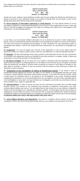If you believe that information we have reported or may report to a credit bureau is inaccurate or incomplete, please notify us in writing at:

### **DATCU Credit Union Attn: Loan Servicing P.O. Box 827 Denton, TX 76202-0827**

Include your name, address, home telephone number and Account number and identify the information you believe is incorrect. If your notification relates to an incident of identity theft, we will require a copy of your identity theft report filed with law enforcement authorities.

**21. Direct Disputes of Information Appearing in Credit Reports.** You may dispute directly to us any information contained in a credit report that pertains to an Account or other relationship we have or have had with you. We will investigate such disputes if you notify us in writing at any address for us that appears in the credit report or at the following address:

### **DATCU Credit Union Attn: Loan Servicing P.O. Box 827 Denton, TX 76202-0827**

In your letter, you must include sufficient information for us to identify the Account or other relationship in dispute, and you must identify the specific information you are disputing and explain your basis for the dispute. You also must provide all supporting documentation or other information we may reasonably require to substantiate your dispute. If you do not comply with these requirements, we may decline to investigate your dispute.

**22. Assignment**. You may not assign your Account or this Agreement, or any of your rights under this Agreement, without our express written consent, which we may withhold in our sole and absolute discretion.

**23. Headings.** The titles and headings of the various sections of this Agreement are for the sole convenience of the parties to this Agreement and are not intended for any other purpose or to explain, modify, of place any construction on any of the provisions of this Agreement.

**24. No Waiver of Rights.** We do not waive any of our rights or remedies under this Agreement unless we agree to any such waiver in a writing signed by us. If we delay or omit to enforce any of our rights or remedies under this Agreement, the delay or omission shall not operate as a waiver of such rights or remedies or any other rights or remedies. A waiver on any one occasion shall not prevent us from enforcing our rights and remedies on future occasions.

**25. Cooperation in the Investigation of Claims of Unauthorized Activity.** If you submit a claim of unauthorized activity relating your Account, you agree, on our request, to (a) adequately describe your claim in writing in a signed affidavit, declaration under penalty of perjury, or any other form that we provide, (b) file a police report, (c) cooperate with us in all respects in the investigation of your claim, including promptly completing and returning to us any documentation that we may require. If you fail to fully cooperate with us in the investigation of your claim, we may terminate our investigation and revoke any provisional credit we have provided to you, subject to applicable law.

**26. Communications.** In order to ensure we carry out your instructions accurately and to provide quality member service, you consent to the monitoring and recording of telephone conversations and other communications between you and us. You also agree that we may contact you at any address or telephone number you have provided to us, including any cell phone number. You also agree that we may contact you number regarding any of your Share Accounts or Loan Accounts with us using any standard mail, electronic address, or telephone number you have provided to us, including any cell phone number and by way of text messaging. **STANDARD WIRELESS VOICE AND MESSAGING FEES MAYAPPLY.**

**27. Active Military Members and Dependents:** Any terms or conditions herein contrary to the Military Lending Act ("MLA") are void for the period(s) during which you are entitled to the protections of the MLA.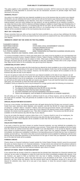### **YOUR ABILITY TO WITHDRAW FUNDS**

This policy applies to the availability of funds in transaction accounts. DATCU reserves the right to delay the availability of funds deposited to accounts that are not transaction accounts for periods longer than those disclosed in this policy.

### **GENERAL POLICY**

Our policy is to make funds from your deposits available to you on the business day we receive your deposit. At that time, you can withdraw the funds in cash and we will use the funds to pay checks that you have written. For determining the availability of your deposits, every day is a business day, except Saturdays, Sundays, federal holidays, and such other holidays we may observe, as may be published on our website or posted in our lobby from time to time. DATCU observes all federal holidays in addition to Good Friday and Christmas Eve. If you make a deposit before 6:00 p.m. on a business day that we are open, we will consider that to be the day of your deposit. However, if a deposit is made after 6:00 p.m. on a business day or on a day we are not open, the deposit will be considered made on the next business day we are open.

### **NEXT DAY AVAILABILITY**

Please remember that even after we have made the funds available to you, and you have withdrawn the funds, you are still responsible for checks you deposit that are returned to us unpaid and for any other problems involving your deposit.

### **IMMEDIATE CREDIT MAY BE GIVEN ON THE FOLLOWING:**

\*CASHIER'S CHECKS CASH \*CERTIFIED CHECKS<br>\*TELLER'S CHECKS STATE AND LOCAL GOVERNMENT CHECKS<br>\*TELLER'S CHECKS \*TELLER'S CHECKS CHECKS DRAWN ON DATCU \*TRAVELER'S CHECKS US TREASURY CHECKS WIRE TRANSFERS/ AUTOMATED CLEARING HOUSE (ACH) FEDERAL RESERVE AND FEDERAL HOME LOAN CHECKS

\*To receive immediate credit for a check type listed above, the check must be payable to you and deposited into a transaction account of yours. Suspect Cashier's Checks, Teller's Checks, Certified Checks, Traveler's Checks and U.S. Postal Money Orders may be subject to holds. Other types of Money Orders are considered "Payable<br>Through" the issuer and do not fall under immediate or next-day availability. Please refer to the Longer Delays<br>May

### **LONGER DELAYS MAY APPLY**

In some cases, we will not make all of the funds that you deposit by check available to you on the same business<br>day of your deposit. Depending on the type of check that you deposit, funds may not be available until the 2n business day after the day of your deposit.

If we are not going to make all of the funds from your deposit available on the date of your deposit, we will<br>notify you at the time you make your deposit. We will also tell you when the funds will be available. If your de is not made directly to one of our employees, or we decide to take this action after you have left the premises, we will mail you the notice by the day after we receive your deposit. If you will need the funds from a deposit right away, you should ask us when the funds will be available.

In addition, funds you deposit by check may be delayed for a longer period under the following circumstances.

- a. We believe a check you deposit will not be paid.
- 
- b. You deposit checks totaling more than \$5,525 on any one day. c. You redeposit a check that has been returned unpaid.
- 
- d. You have overdrawn your account repeatedly in the last six months. e. There is an emergency, such as failure of communications or computer equipment.

We will notify you if we delay your ability to withdraw funds for any of these reasons, and we will tell you when<br>the funds will be available. They will generally be available no later than the 7th business day after the d your deposit.

### **SPECIAL RULES FOR NEW ACCOUNTS**

If you are a new member, the following special rules will apply during the first 30 days your account is open. Funds from cash, electronic direct deposits, wire transfers, and the first \$5,525 of a day's total deposits of cashier's\*, certified\*, teller's\*, traveler's\*, federal, state and local government checks, and US Postal Money Orders\* will be available on the same day of your deposit if the deposit meets certain conditions. For example, the checks must be payable to you. \*See other exceptions above. The excess over \$5,525 will be available on the 9th business day after the day of your deposit.

If you do not make the deposit in person (other than a U.S. Treasury check) to one of our employees, the first \$5,525 will not be available until the 2nd business day after the day of your deposit. Funds from all other check deposits will be available no later than the 9th business day after the day of your deposit.

### **HOLDS ON OTHER FUNDS**

If we cash a check for you that is drawn on another financial institution, we may withhold the availability of a corresponding amount of funds that are already in your account. Those funds will be available at the time funds from the check we cashed would have been available if you had deposited it. If we accept for deposit a check that is drawn on another financial institution, we may make funds from the deposit available for withdrawal immediately, but delay your availability to withdraw a corresponding amount of funds that you have on deposit in another account with us. The funds in the other account would then not be available for withdrawal until the time periods that are described elsewhere in this disclosure for the type of check that you deposited. We will advise you of the date the funds will be available.

### **FOREIGN CHECKS**

Checks drawn on financial institutions located outside the United States (foreign checks) cannot be processed the same as checks drawn on U.S. financial institutions. Foreign checks are exempt from the policies outlined in this disclosure. Generally, the availability of funds for deposit of foreign checks will be delayed for the time it takes us to collect the funds from the financial institution upon which it is drawn.

### **DEPOSIT OF ITEMS - RIGHT TO REFUSE DEPOSIT**

If you request that we accept a check for a deposit that has already been deposited at a financial institution but returned, we are under no obligation to make the funds from the check immediately available after deposit. If we do, however, you agree to hold us harmless from any loss or liability, including consequential damages, attorney's fees, and expenses, which may arise because of our acceptance of the item. In any event, at our discretion, we may refuse any deposit, limit the amount which may be deposited, accept all or any part of a deposit for collection only, return all or any part of any deposit, or close the account subject to applicable regulations.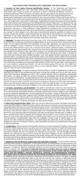### **ELECTRONIC FUND TRANSFERS (EFT) AGREEMENT AND DISCLOSURES**

**1. Issuance of Card and/or Personal Identification Number.** In this Agreement and Disclosures ("Agreement"), the words "you," "your," and "party" refer to (i) any person to whom a DATCU Credit Union Debit Card ("Card") is issued, (ii) any person to whom a Personal Identification Number or password (collectively, "PIN") is issued in connection with any such Card or any other electronic fund transfer service such as the Automated Telephone Service and the DATCU Online Banking Services, (iii) any person authorized to use or given access to use to any such Card or PIN(s), and (iv) any Owner or<br>other party on any Credit Union Account which may be accessed by the Card or a PIN. The words "we " "us " other party on any Credit Union Account which may be accessed by the Card or a PIN. The words "we, "our," and "Credit Union" mean DATCU Credit Union. Capitalized terms used in this Agreement but not defined herein shall have the same meaning as in the Membership and Account Agreement. You agree that any use of the Card or a PIN by you shall be governed by the terms and conditions set forth in this Agreement, as well as the terms of the DATCU Membership and Account Agreement, our policies and procedures, and any other agreements, instructions, or FAQs (collectively, "Other Agreements") provided to you in connection with the Electronic Fund Transfer Services ("Services"), all of which are incorporated into this Agreement by reference. If you arrange for direct deposit or any other type of preauthorized electronic payments or credits to your Account, except wire transfers, those Services also are governed by this Agreement. If the terms of this Agreement or any Other Agreements conflict with the terms of the DATCU Membership and Account Agreement, the terms of this Agreement and the Other Agreements will control.

**2. Overdrafts**. You agree that you will not use your Card, a PIN, or the Services to withdraw or transfer funds from your Account in amounts exceeding the available balance in your Account at the time of any such transfer. Unless we have agreed otherwise in the Application or in any other agreement, you agree that we will be under no obligation to make a withdrawal or transfer if there are insufficient funds in your Account. If your Account has sufficient funds to cover one or more but not all checks, withdrawal orders, or electronic fund transfers during any given business day, we may honor those items, allow those withdrawals, or make any such electronic fund transfers in any order that we choose in our sole discretion including honoring first any such checks, orders, or transfers payable to us, and dishonoring or refusing any item, order, or transfer for which there are insufficient funds available thereafter. If you have applied and been approved for overdraft protection with us, you agree that your use of the Card, a PIN, or any Service shall be subject to the Overdrafts and Overdraft Protection section of the DATCU Membership and Account Agreement and any overdraft line of credit agreement you may have with us. If you qualify for our Courtesy Pay service and wish to have Courtesy Pay consideration extended to your Automated Teller Machine ("ATM") and one-time Debit Card transactions, you must complete a separate authorization. We will not consider paying ATM and one- time Debit Card transactions using the Courtesy Pay service unless you have separately opted-in. Please contact the Credit Union to receive an opt-in authorization form.

**3. Card and PIN Security**. You agree to keep your Card and PIN(s) in a place of safekeeping, to refrain from disclosing your PIN(s) to any unauthorized third party, to refrain from writing your PIN on your Card, and to refrain from recording or displaying your PIN in such a manner that they will be accessible by unauthorized third parties. You agree to follow our security procedures to authenticate your identity when requesting Account access or transactions. You agree that the use of the Card or a PIN by (i) you, (ii) any other applicant, (iii) any party to any of your Accounts that may be accessed by the Card or a PIN, (iv) anyone you permit or authorize to use your Card or your PIN, and (v) anyone to whom you disclose your PIN or give access to your Card or your PIN shall be deemed an authorized use for which you shall be liable. You are responsible for reporting the loss or theft of your Card or PIN(s) to us as soon as possible after the loss or theft.

**4. Surrender, Cancellation, and Amendment**. You agree to surrender your Card to us upon demand. You agree, further, that the Card shall at all times remain our property and that we may restrict or terminate any one or more electronic fund transfer services or cancel this Agreement at any time, subject to such notification as may be required by applicable law. You also agree that we may add to, change, or delete any of the terms of thisAgreement from time to time, subject to such notification as may be required by applicable law. Your use of the Services after the effective date of any changes to this Agreement means that you accept the changes. You may terminate this Agreement at any time by notifying us in writing. You will remain responsible for all transactions you make or authorize both before and after any termination.

**5. Debit Card Preauthorization Holds**. When you use your Debit Card at certain merchants such as selfservice gas filling stations, restaurants, hotels, airlines, and rental car companies, the merchant may request a preauthorization hold from us to cover the final transaction amount. The preauthorization hold may be in a greater than the actual purchase amount and may be placed on your Account for up to three days. You may not access funds that are subject to a preauthorization hold. Preauthorization holds may remain on your Account for up to three days after the transaction, even after the transaction has been paid. In addition, even after a preauthorization hold is released, the transaction may be posted to your Account at any time. As a result, you must ensure that sufficient funds are available and remain in your Account to pay for your Debit Card transactions. Preauthorization holds affect the availability of funds to pay for checks drawn on your Account and other withdrawal transactions. You acknowledge and agree that we are not liable for any damages you may incur for dishonor of items or other transactions because of a preauthorization hold placed on your Account funds.

**6. Confidentiality.** Certain electronic fund transfers services such as the Automated Telephone Service and the DATCU Online Banking Service may allow any user accessing the systems to obtain information about the Primary Member and all of the Primary Member's Credit Union Share Accounts and loan accounts, regardless of whether the user is an Owner or is authorized on all Accounts. You acknowledge and agree that any user authorized to use your PIN to access the Automated Telephone Service, the DATCU Online Banking Services, and any additional electronic fund transfer services with PIN access in the future will have full access to the Primary Member's Account information made available through those Services, and we are not responsible for access by such persons.

**7. Additional Terms for Business, Organization and Association Accounts.** If a Card or PIN is issued in connection with a business, organization, or association Account, you acknowledge and agree that any such Card or PIN may be used for business purposes only and may not be used for personal, household, or family purposes. You agree to implement reasonable measures to ensure that your Card and PIN(s) are used for business purposes only. **You agree to indemnify and hold us harmless from any costs or damages which you sustain as a result of our carrying out your instructions. IN ANY EVENT, WE WILL NOT BE LIABLE FOR ANY INDIRECT, SPECIAL, INCIDENTAL, PUNITIVE, OR CONSEQUENTIAL DAMAGES, INCLUDING LOSS OF PROFITS, EVEN IF WE HAVE BEEN ADVISED OF THE POSSIBILITY OF THEM.** As additional security measures for business, organization, and association Accounts, you agree to regularly instruct and require each authorized signer to (a) sign the Card and any renewal or replacement Cards immediately upon receipt, (b) keep the Card and PIN(s) separate, in a place of safekeeping, and in the signer's sole possession, (c) refrain from disclosing the PIN to any unauthorized third party or writing the PIN on the Card, and (d) use the Card for business purposes only, retaining all receipts and promptly verifying them against your Account statement for accuracy. You agree to notify us immediately and promptly return the Card to us when you terminate an authorized signer's rights to use the Card and promptly return the Card to us. You acknowledge and represent that these security procedures provide a commercially reasonable degree of protection against unauthorized use of the Card and PIN(s) in view of your business's particular circumstances. We assume no duty to discover any breach of security by you or any authorized signer or any unauthorized disclosure or use of a PIN. Notwithstanding any provision in the Membership and Account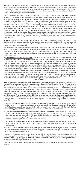Agreement, you agree to review your statements and receipts promptly and notify us within 15 days from the date of your statement or receipt if you think your statement or receipt relating to an electronic fund transfer transaction is wrong. You must notify us of electronic fund transfer errors or discrepancies within 15 days from the date of your statement or receipt at the address or telephone number appearing below in Section 10 of the Disclosures or your claim will be waived.

You acknowledge and agree that the issuance of a Card and/or a PIN in connection with a business, organization, or association Account affords ready access to the Account by the person or persons authorized by the Account Owner, as well as any other persons who are provided access to the Card or PIN(s) or who otherwise obtain the Card or a PIN whether by way of negligence, theft, collusion, or otherwise. As a result, and except as otherwise expressly provided in this Agreement and Disclosures, you acknowledge and agree that the Account Owner and all persons authorized by the Account Owner to receive a Card or a PIN are jointly and severally liable for their use and that we will not be liable for any loss resulting from the unauthorized use of the Card or a PIN. The Account Owner and all of the Authorized Signers jointly and individually agree to indemnify, release, and hold us harmless from any claims, demands, expenses, losses, or damages, including legal fees and expenses, arising out of, resulting from, or directly or indirectly related to the issuance or use of any Card or PIN pursuant to this Agreement. You acknowledge and agree that you will not have the benefit of any consumer law limiting your liability with respect to unauthorized use of the Card or a PIN.

**8. Online Statements.** You may choose to receive your statements online through our DATCU Online Banking service. If you elect to receive electronic statements, we will notify you by email when your electronic statement is available and no paper statement will be issued. Electronic statements can be downloaded, saved, and printed for your records.

You understand and agree that if online statements are selected, you will not receive a paper statement. It is your responsibility to maintain proper equipment/software that will enable you to print and save these statements for your records. You agree that it is your responsibility to examine each online statement of Account and report any irregularities or disputes in the same manner and time frame as you would for a printed statement.

**9. Payment Order of Your Transactions.** The order in which we process checks and other withdrawal orders (collectively, "Items") may also affect the total amount of overdraft and other fees that may be charged to your Account. Items may not be processed in the order made. Our policy is to pay Items as we receive them. We typically receive Items to be processed against your Accounts multiple times per day in what are referred to as presentment files. Each presentment file contains a large amount of a specific typeof Item (for example, checks, ACH, or ATM/Point-of-Sale (POS)). These presentment files may contain multiple Items to be processed against your Account. In those cases where multiple Items are received at the same time, the Items will be paid as presented in the file received. Checks are paid in order of presentment from file. We will post credits from ACH files first, then ACH debits are paid in the order they are presented. ATM/POS Items are paid in the order they are presented. Transactions performed in person, such as withdrawals or checks cashed at our branch offices, are generally paid when they are performed. Please refer to the Payment Authorization section for additional terms regarding payment order of Items. **DISCLOSURES**

**Note to Business, Association, and Organization Account Holders**. The following disclosures are provided for the benefit of consumers pursuant to the Electronic Fund Transfers Act and Federal Reserve Board Regulation "E." The Act and Regulation do not apply to business, association, or organization Accounts (collectively, "business Account(s)"). If you are a business Account holder, Sections 1 and 10 below do not apply to your business Accounts (except for the Debit Card zero liability rules as set forth in Section 1 below). Please refer to Section 7 in the Agreement section above for business Account liability for unauthorized use of an electronic fund transfer service and Section 9 below for the Credit Union's liability under the Agreement and Disclosures. The remainder of the Disclosures below are provided to business, organization, and association Accountholders for informational purposes only and are not intendedto expand the scope or coverage of the Electronic Fund Transfers Act or Regulation "E" to business, organization, or association Accounts.

**1. Member Liability for Unauthorized Use and Advisability Reporting.** Tell us AT ONCE if you believe your Card or any PIN we have issued to you has been lost or stolen, or if you believe that an electronic fund transfer has been made without your permission using information from your check. Telephoning is the best way of keeping your possible losses down. You could lose all the money in yourAccount.

- (a) **For Signature-based Point-of-Sale Transactions with Debit Card.** If you believe your Card or PIN has been lost or stolen, you will not be liable once you notify us that your Card or PIN has been or may be used without your permission. This zero liability limitation will only apply if you have exercised reasonable care in safeguarding the Card from risk of loss or theft and, upon becoming aware of such loss or theft, promptly reports the loss or theft to the Credit Union.
- (b) **For All Other Transactions.** If you tell us within two business days after you learn of the loss or theft of your Card or PIN, you can lose no more than \$50 if someone used your Card or PIN without your permission.

If you do NOT tell us within two business days after you learn of the loss or theft of your Card or PIN, and we can prove we could have stopped someone from using your Card or PIN without your permission if you had told us, you could lose as much as \$500.

In addition, if your statement shows transfers that you did not make, including those made by Card, PIN, or other means, tell us at once. If you do not tell us within 60 days after the statement was mailed to you, you may not get back any money you lost after the 60 days if we can prove that we could have stopped someone from taking the money if you had told us in time.

If a good reason (such as a long trip or a hospital stay) kept you from telling us, we will extend the time periods.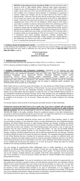**NOTICE: In the interest of your security at ATMs.** Exercise discretion when using an ATM or night deposit facility. Observe basic safety precautions. Prepare for any ATM transactions prior to approaching the ATM or night deposit facility. Never enter your PIN in any terminal that does not look genuine, has been modified, has a suspicious device attached, or is operating in a suspicious manner. Retain your receipts, and do not leave them at the ATM or night deposit facility. Treat your Card as cash and do not lend your Card to anyone. Do not leave your Card or any other documents at the ATM or night deposit facility. Keep your PIN secret and memorize it. Do not give anyone information regarding your Card or PIN over the telephone. When using an ATM, place your body in a position so that you will prevent others from observing your PIN when entered. At any ATM or night deposit facility, keep a lookout for any suspicious activity near the facility and assure yourself that the facility, and all approaches to the facility, are well lighted. Conceal cash received from an ATM to the best of your ability and count it after you have left the ATM. If anyone offers assistance while you are operating an ATM, do not accept it. If you have begun a transaction and notice anything suspicious, consider canceling the transaction and leaving the ATMlocation. Finally, compare your receipts against the statements you receive and notify us immediately if you suspect that an error or unauthorized transaction has occurred.

**2. Contact in Event of Unauthorized Transfer.** If you believe your Card or your PIN has been lost or stolen, or that someone has transferred, or may transfer money from your Account without your permission (using the information from your check or otherwise you may call our Call Center at (**940) 387-8585,** Toll Free at **(866) 387-8585** or write to:

### **DATCU Credit Union P.O. BOX 827 DENTON, TX 76202-0827**

### **3. Definition of a Business Day.**

Our business days and hours are Monday thru Friday, 9:00 a.m. to 5:00 p.m. Central Time.

DATCU observes all federal holidays in addition to Good Friday and Christmas Eve.

4. Available Transactions and Transaction Limitations. Depending on the Services you have<br>re<u>quested</u>, one or more of the following Services may be available to you. Automated Teller Machine (ATM)<br>transfers and/or cash wit withdrawal transactions at a point-of-sale terminal, Automated Telephone Service system<br>transactions, DATCU Online Banking system transactions, Direct Deposit of your<br>Payrollorotheriecurring-typesiof-deposits/withdrawals-t preauthorized debit and/or credit transactions and electronic check conversion through an Automated<br>Clearing House (ACH). Some of these services may be subject to additional terms, conditions, and<br>disclosures:that will be

Debit Card(s) sent by us cannot be used until activated. You may activate your Debit Card(s) by performing a pin-based transaction at any ATM machine or POS terminal. You may use your Debit Card and your PIN to withdraw available cash from your designated Checking or Savings Account, to pay for purchases at retailers and at other places that have agreed to accept the Card, to make available balance inquiries on your designated Checking and Savings Accounts, and to make transfers from your designated Savings or Checking to your Loan Accounts to the extent that we allow such transfers from. Some transactions may not be available at all terminals or for all Accounts. Please see below for transfer limitations from Savings Accounts.

For security reasons, there are limits on the frequency and dollar amounts of daily withdrawals.

**Furthermore, because the Debit Card is not a credit card, if you have a problem with the quality of property or services that you have purchased with your Debit Card, you will have to settle it directly with the merchant**. We are not responsible for and do not, directly or indirectly, give any guarantee or warranty with regard to the quality, suitability, fitness for a particular purpose, or any other characteristic of any goods or services purchased through the use of the Card. You agree the Credit Union is not responsible for the refusal of any merchant or financial institution to honor your Card.

You may use our Automated Telephone Service and/or the DATCU Online Banking system to make Account balance inquiries, to view transaction history, to make withdrawals from your designated Savings, Checking, and Money Market Accounts, to make transfers between your Savings, Checking, and Money Market Accounts, and to make loan payments from your Savings, Checking, and Money Market Accounts to the extent that we allow such transfers. The Online Banking system also permits a user to make pay bill payments from the user's Checking Account to certain third parties. You may use the Mobile Banking Service to make Account balance inquiries, to view transaction history, to make transfers between your Savings, Checking, and Money Market Accounts, and to make loan payments from your Savings, Checking, and Money Market Accounts to the extent we allow such transfers. Your separate contractual arrangement for the Online Banking Services, including the bill payment services, provides for additional terms and conditions. Telephone and data charges incurred in using the Automated Telephone Service or the DATCU Online Banking Services are the responsibility of the user. Some withdrawal and transfer transactions may not be available with all Services and systems or to or from all Accounts. Please see below for transfer limitations from Savings and Money Market Accounts.

You may arrange for preauthorized debits (withdrawals) from or credits (deposits) to your Savings, Checking, and Money Market Accounts or a transfer of funds from your Savings, Checking, and Money Market Accounts by way of the Automated Clearing House (ACH) system. The dollar amounts are limited only by the member's available balances and available credit limits where applicable. Some transactions may not be available to or from all Accounts. Please see below for transfer limitations from Savings and may not be available to or from all Accounts. Please see below for transfer limitations from Savings and Money Market Accounts.

**Electronic Check Conversion**. If you pay for something by check and the merchant or payee permits, you may authorize the merchant or payee to make a one-time electronic payment from your Checking or Money Market Account using information from your check to pay for the purchase or to pay a bill. You may also authorize a merchant or payee to electronically debit your Checking Account for returned check fees. You are deemed to have authorized these transfers if you sign an authorization or if you engage in the transaction after receiving notice that the transfer will be treated as an electronic fund transfer. This Service may not be available at all terminals. Please see below for automatic overdraft protection transfer limitations from Savings Accounts to pay for your Checking Account transactions.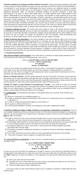**Transfer Limitations for Savings and Money Market Accounts.** Under government regulations that apply to your Savings and Money Market Accounts, you may not make more than six transfers and withdrawals, or a combination of such transfers and withdrawals from these Accounts, per statement period, to another Account of yours at the Credit Union or to a third party by means of a pre-authorized or automatic transfer, telephonic agreement, order, or instruction (including transfers by personal computer or other data transmission), or by way of a check, draft, Debit Card, or a similar payment order made payable to third parties. Withdrawals by mail, messenger, ATM, or in person, and transfers to make payments on your loans with us are generally not included in this limitation. However, automatic or preauthorized transfers from your Accounts to make payments on loans that your family members or others may have with us are counted against this transaction limitation, as are automatic overdraft protection transfers from a Savings Account. If you exceed the number of transfers permitted, your Account may be closed or we may restrict your ability to make automatic and preauthorized transfers from the Account. If we close your Money Market Account due to excessive transfer activity, funds on deposit will be transferred to your SavingsAccount.

**5. Charges to Member for Use.** The Credit Union may charge for some or all of these Services. Charges are deducted from the particular Account on which the transaction is performed. If funds are not available in the Account on which the transaction is performed, charges may be deducted from any other eligible Account on which you are an Owner. All charges are disclosed on the Fee Schedule, which accompanies this Disclosure, or will be stated before service is performed, and are subject to change.

**6. Right to Receive Documentation.** If you have arranged to have direct deposits made to your Account at least once every sixty (60) days from the same person or company you can call our Audio Response System ast once every sixty (60) days from the same person or company, you can call our Audio Response System at (940) 380-7445 or Toll Free at (866) 380-7445, or you can call the Credit Union directly at (940) 387-8585 or Toll Free at (866) 380-8585, to find out whether or not deposit has been made. You will receive a monthly statement of your Account activity for each month an Electronic Fund Transfer has occurred. In any case, you will receive an Account statement at least quarterly. In addition, for each ATM or Point of Sale (POS) transaction of more than \$15, you may choose to receive a descriptive receipt at the time of the transaction.

### **7. Preauthorized Payments.**

**Stop Payment Rights and Procedures.** If you have told us in advance to make regular payments out of your Account you can stop any of these payments. Here is how:

> Call us at: **940-387-8585 or Toll Free 866-387-8585** Or write to: **DATCU Credit Union P.O. Box 827 Denton, TX 76202-0827**

In time for us to receive your request three (3) business days or more before the payment is scheduled to be made. If you call, we will also require you to put your request in writing and get it to us within 14 days after you call. There is a charge for each stop payment order you give which is disclosed on the Fee Schedule accompanying these Disclosures.

**Notice of Varying Amounts.** If these regular payments may vary in amount, the person you are going to pay will tell you ten (10) days before each payment when it will be made and how much it will be. You may choose instead to get this notice only when the payment would differ by more than a certain amount from the previous payment or when the amount would fall outside certain limits that you set.

**Liability for Failure to Stop Payment of Preauthorized Transfer.** If you order us to stop one of these payments three (3) business days or more before the transfer is scheduled, and we do not do so, we may be liable for your actual losses or damages. To be valid, a stop payment order must be completely filled in, signed, and accurately describe the payment to be stopped.

**8. Confidentiality.** We will disclose information to third parties about your Account or the transfers you make:

(A) Where it is necessary for completing transfers, or

- (B) In order to verify the existence and condition of the Account for a third party such as a Credit Bureau or Merchant, or
- (C) In order to comply with government agency or court orders, or
- (D) If you give us written permission, or
- (E) In other special situations to provide you emergency cash and/or replacement Card(s).

**9. DATCUs Liability for Failure to Make Transfers or for Improper Transactions or Payments.** If we do not complete a transfer to or from your Account on time or in the correct amount according to our agreement with you, we may be liable for your actual losses or damages. However, there are some exceptions. We will **NOT** be liable, for instance:

- If through no fault of our own, you do not have enough money in your Account to complete the transfer/ transaction, or if your Account is frozen because of a court order or some other similar reason.
- If the Automated Teller Machine or terminal where you are making the transfer does not have enough cash or is not working properly (and you are aware of it at the time you begin the transaction).
- If circumstances beyond our control, such as fire or flood, prevent the transfer despite reasonable precautions that we have taken.
- (D) If the failure to properly complete the transaction is caused by erroneous information supplied by you or your agent.
- (E) If you have closed the Account from which you have preauthorized the electronic fund transfer.
- (F) If any other exceptions arise as stated in our agreement with you.

**10. In Case Of Errors or Questions.** In case of errors or questions about your consumer Electronic Fund Transfers, tell us

By calling: **940/387-8585 or 866/387-8585** Or write to: **DATCU Credit Union Box Denton, TX 76202-0827**

as soon as you can if you think your statement or receipt is wrong or if you need more information about a transfer listed on the statement or receipt. We must hear from you no later than sixty (60) days after we sent the **FIRST** statement on which the problem or error appeared. We will need the following information from you:

- (A) Tell us your name and Account number.
- (B) Describe the error on the transfer you are unsure about, and explain as clearly as you can why you believe it is in error or why you need more information.
- (C) Tell us the dollar amount of the suspected error.

If you tell us orally, we may require that you send us your complaint or question in writing within ten (10) business days.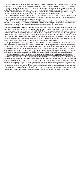We will determine whether an error occurred within ten (10) business days after we hear from you and will correct any error promptly. If we need more time, however, we may take up to forty-five (45) days to investigate your complaint or question. If we decide to do this, we will provisionally credit your Account within ten (10) business days for the amount you think is in error, so that you will have use of the money during the time it takes us to complete our investigation. If we ask you to put your complaint or question in writing and we do not receive it within ten (10) business days, we may not credit yourAccount.

For errors involving new Accounts, point-of-sale, or foreign-initiated transactions, we may take up to 90 days to investigate your complaint or question. For new Accounts, we may take up to 20 business days to credit your Account for the amount you think is in error.

We will tell you the results within three business days after completing our investigation. If we determine that there was no error, we will send you a written explanation including the date and amount we will debit your Account. You may ask for copies of the documents that we used in ourinvestigation.

**11. ATM/Debit Card International Transactions.** If you effect an international transaction withyour Debit Card, VISA will convert the charge into a U.S. dollar amount. Currently, the currency conversion rate used by VISA to determine the transaction amount in U.S. dollars for such transactions is generally either a government-mandated exchange rate or a wholesale exchange rate selected by VISA for the applicable currency on the day the transaction is processed, which rate may differ from the applicable rate on the date the transaction occurred or when the transaction is posted to your Account. We will charge a Foreign Transaction Fee of up to 1% of the transaction amount on all international purchase, cash disbursement, and Account credit transactions, even if the transaction is conducted in U.S. dollars.

**12. Illegal Transactions.** You agree that you will not cause or allow your Card or PIN to be used in any manner or for any transaction that we believe poses an undue risk of illegality, and we may refuse to authorize any such use or transaction. If you use your Card or PIN for a transaction that is determined to be illegal, you will be liable for the transaction. You also waive any right to take legal action against the Credit Union for your illegaluse of yourCard orPIN, and youagree to indemnifyand hold harmlessthe Credit Union and VISAfrom and against any lawsuits, other legal action, or liability that results directly or indirectly from such illegal use.

**13. Linking Account or Access Device to a Third Party Application (App) or Payment Service.** You agree that if you link any of your accounts or access device(s) to a third-party app or payment service (including but not limited to Cash App, PayPal, Zelle, or Venmo) you understand and agree that these are NOT Credit Union services; and any transaction(s) you make will be subject to your agreement with the application or service provider. You further understand that these apps and services do not provide the same protections from fraud or other misapplication of funds as traditional direct banking services. If we transfer any funds as directed by you or anyone you authorize to the app or third-party service provider such transfer(s) shall in all respects be an authorized transaction and we will have no further obligation or liability if the app or provider then transfers the funds to a fraudster or the funds are otherwise misapplied.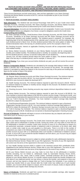### **DATCU**

### **TRUTH-IN-SAVINGS ACCOUNT DISCLOSURES, AND NON-RETURN PRIVILEGE POLICY FOR CONSUMER AND BUSINESS SHARE (SAVINGS), CHECKING, MONEY MARKET ACCOUNTS BUSINESS ACCOUNTS, AND ORGANIZATION/ASSOCIATION ACCOUNTS**

These Account Disclosures set forth certain terms, rates and fees applicable to your Share (Savings), Checking and Money Market Accounts at DATCU, and are incorporated as part of your Account Agreement with us.

### **1. TRUTH-IN-SAVINGS ACCOUNT DISCLOSURES**

**Rate Information.** The dividend rate and Annual Percentage Yield (APY) on your Credit Union Share (Savings) Accounts, Checking Accounts, IRA Share (Savings) Accounts, and Money Market Accounts may change every dividend period as determined by the Credit Union Board of Directors.

**Account Information.** Accounts are non-transferable and non-assignable. Funds in your Accounts may not be pledged to secure any obligation of an Owner, except for obligations owed to the Credit Union. **Compounding and Crediting**.

(a) Share (Savings) Accounts, Small Business Share (Savings) Accounts, and IRA Share (Savings) Accounts. \*Dividends on all Share (Savings) Accounts and IRA Share (Savings) Accounts will be compounded quarterly and credited quarterly. The dividend period is quarterly. For example, the beginning date of the first dividend period of the calendar year is January 1st, and the ending date of such dividend period is March 31st. All other dividend periods follow this same pattern of dates. The dividend declaration date is the last day of a dividend period, and for the example is March 31st.

(b) Checking Accounts. Interest on applicable Checking Accounts will be compounded monthly and credited monthly.

(c) Money Market Accounts. Dividends on your Money Market Accounts will be compounded monthly and credited monthly. The dividend period is monthly, for example, the beginning date of the first dividend period is January 1st and the ending date of such dividend is

January 31st. All other dividend periods follow this same pattern of dates. The dividend declaration date is the last day of a dividend period, and for example, is January  $31<sup>ST</sup>$ .

**Effect of Closing.** If you close your account before dividends are paid, you will not receive the accrued dividends.

**Balance Computation Method.** Dividends are calculated by the average daily balance method, which applies a periodic rate to the average daily balance in the Account for the period. The average daily balance is calculated by adding the balance in the Account for each day of the period and dividing that figure by the number of days in the period.

### **Minimum Balance Requirements.**

(a) Regular Share (Savings) Accounts and Other Share (Savings) Accounts. The minimum balance required to open this Account is \$5.00. You must maintain a minimum average daily balance of \$100.00 in your Account to obtain the disclosed APY\*.

(b) Health Savings Accounts. The minimum balance required to open this Account is \$5.00. There is no minimum balance to maintain or monthly service charge for this Account. No dividend is earned for Health Savings Accounts.

(c) Checking Accounts. Some checking accounts may require minimum deposit/loan balance to avoid fees.

(d) Money Market Accounts. The minimum balance required to open this Account is \$2,500.00. You must maintain a minimum daily balance of \$2,500.00 to avoid a service charge. If during any month, your Account balance falls below the required minimum, your Account will be subject to a monthly service charge (See our Truth-In-Savings Fee Schedule). You must maintain a minimum average daily balance of \$2,500.00 to obtain the disclosed APY.

(e) Small Business/Organization Accounts. The minimum balance required to open a Business/ Organization Savings Account is \$5.00. You must maintain a minimum average daily balance of \$100.00 to obtain the disclosed APY. Business Savings Accounts may incur a monthly fee as stated in our Truth-In-Savings Fee Schedule. The minimum balance required to open a Business/Organization Checking Account is \$5.00. Dividends are not earned on Business/Organization Checking Accounts.

**Accrual of Dividends.** Dividends will begin to accrue on the business day you deposit cash and noncash items (such as checks) to your Account.

### **Transaction Limitations.**

(a) For your Share (Savings) Accounts: The Credit Union reserves the right to require up to sixty (60) days' notice prior to withdrawal or transfer of funds. During any month, you may make no more than six (6) withdrawals or transfers to another Credit Union Account of yours or to a third party by means of a pre-authorized, automatic, computer transfer or telephonic order or instruction, or by check, draft, debit card, or similar order made by you and payable to a third party. There is no limit on the number of transactions you make in the following manner: (1) transfers to any loan account with us, (2) transfers to another account of yours with us or withdrawals when such transfer or withdrawal is initiated in person, by mail, or at an ATM. If you exceed the transfer limitations set forth above, your Account may be subject to closure by the Credit Union.

(b) Your IRA Share (Savings) Account is subject to certain penalties for early withdrawals imposed by the Internal Revenue Service. Please refer to your IRA Agreement. The terms of your IRA Agreement will control over the terms of this Agreement in the event of any conflict.

(c) Your Health Savings Account (HSA) is subject to the maximum annual HSA contribution limits established by the Internal Revenue Service. Please refer to your HSA Agreement. The terms of your HSAAgreement will control over the terms of this Agreement in the event of any conflict.

(d) On your Money Market Account, you may make no more than six (6) withdrawals or transfers monthly (including, but not limited to, withdrawals made by Automated Clearing House (ACH), telephone, Internet, wire, check, draft or similar (order). Overdraft protection will not be offered or allowed on your Money Market Account. If a transfer request would exceed the transfer limitations set forth above in any statement period, we may refuse or reverse the transfer, and suspend or close your Account, and we may impose a charge (See our Truth-in-Savings Fee Schedule). If you continue to exceed any transfer limits on your Account after the Credit Union has notified you of such transfer violation, your Account will be subject to closure, and in the event of closure, funds on deposit will be transferred to your regular Share Savings (01) Account.

**Nature of Dividends.** Dividends are paid from current income and available earnings, after required transfers to reserves at the end of a dividend period.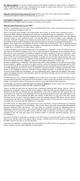**Par Value of Shares.** You must complete payment and maintain at least one regular share on deposit in order to maintain your Credit Union membership and qualify for Credit Union services. The par value of a regular share in the DATCU Credit Union is \$5.00.

**National Credit Union Share Insurance Fund.** Member Accounts in this Credit Union are federally insured by the National Credit Union Share Insurance Fund.

**STATEMENT FREQUENCY.** Savings Account Statements are provided at least quarterly. Checking Account Statements are provided monthly if activity is occurring on the account.

### **NON-RETURN PRIVILEGE POLICY (NRP)**

NOTICE: The following is DATCUs Non-Return Privilege (NRP) Policy. This is only a policy and is not part of your contractual arrangement with us.

DATCU recognizes that members may inadvertently write a check or perform other Checking Account transactions when sufficient Checking Account funds are not available to pay the transactions. To cover such transactions, our Automatic Overdraft Protection service will automatically transfer funds from other deposit Accounts of yours to your Checking Account. You may also apply for a line of credit to cover overdrafts. For Automatic Overdraft Protection from deposit Accounts, there is NOT an Overdraft Protection Transfer fee per transfer however federal regulations may limit the number of automatic or preauthorized transfers allowed each month from your Savings Accounts. Please refer to the DATCU Truth in Savings Account Disclosures for details about limitations on automatic and preauthorized transfers from Savings Accounts. To apply for an overdraft line of credit, please contact us.

For those occasions when overdraft protection is not available from a deposit or a line-of-credit account, we also offer our Non-Return Privilege service. This is a non-contractual, discretionary service whereby DATCU may choose to pay inadvertent overdrafts of qualified members caused by in-person transactions, ATM transactions, debit card transactions, preauthorized transfers (ACH), and transfers by other electronic means when no other form of overdraft protection is available. To qualify, you must (i) make regular deposits with us at least once a month, (ii) resolve any negative Account balances or other amounts owing to us within 30 days of the event giving rise to the obligation, unless we have agreed otherwise in writing, and

(iii) have no legal orders outstanding. This service may not be made available to you until we have verified that you qualify. In addition, we reserve the right to limit the number of Checking Accounts approved for NRP to one per household. Our payment of overdrafts using this service is limited at any one time to a maximum of \$1,000 (dependent on Account history) for qualified Checking Accounts, including overdraft fees. This service is not available for Business Accounts or Money Market Accounts. To receive this service for your ATM and one-time debit card transactions, you must affirmatively opt-in. Please see the Important Information section immediately below for more information about the Non-Return Privilege service and ATM and one-time debit card transactions.

The NRP service is not a contractual obligation of the Credit Union, is not a line of credit, and there is never any guarantee of payment. We retain the sole discretion to refuse to pay any overdraft at any time for any reason. You should not rely on this service as a means to pay ordinary and routine expenses.

**If at any time you feel you need help with your financial obligations,** please contact one of our Personal Service Representatives at (940) 387-8585 or (866) 387-8585.

There is an NRP fee each time we choose to pay a transaction using the NRP service (See our Truth-In-Savings Fee Schedule). There is no limit to the number of NRP fees that may be charged each day. You should be aware that we normally process transactions in the order in which they are received and not necessarily in the order they were transacted. We may also process payment orders and withdrawals in any order we choose. These practices can affect the number of NRP fees you may incur each day. Please remember that we are never under any obligation to pay any overdraft using the NRP service, and you should not expect that we will pay an overdraft at any time or give you notice that we will not or have not paid an overdraft, even if we have paid overdrafts for you in the past.

Our NRP service can help protect your good name in your community. Amounts advanced to you through this service require repayment in full immediately. Joint Account Owners are jointly and severally responsible for amounts advanced under this service. You may repay an overdrawn Account by depositing funds or obtaining an approved loan with us. If you do not repay advanced funds within 30 days of the advance, we may terminate your access to the NRP service, refer the matter to collection, and exercise other rights as provided by law. We may also report your payment status to consumer reporting agencies such as ChexSystems.

We reserve the right to terminate your access to the NRP service at any time and for any reason without notice to you. We also reserve the right to add to, change, or delete the terms of this policy or to discontinue the NRP service at any time in our sole discretion.

If you have any questions or would prefer not to participate in the NRP service, you may opt out. To opt out, please contact us at one of the telephone numbers above.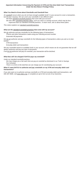### *Important Information Concerning the Payment of ATM and One-time Debit Card Transactions Under the Non-Return Privilege Policy*

### *What You Need to Know about Overdrafts and Overdraft Fees*

*An overdraft occurs when you do not have enough available funds\* in your account to cover a transaction, but we pay it anyway. We can cover your overdrafts in two different ways:*

*We have standard overdraft practices that come with your account.*

*We also offer overdraft protection plans, such as a link to a savings account, which may be less expensive than our standard overdraft practices. To learn more, ask us about these plans.*

*This notice explains our standard overdraft practices.*

*What are the standard overdraft practices that come with my account?*

*We do authorize and pay overdrafts for the following types of transactions:*

*Checks and other transactions made using your checking account number*

*Automatic bill payments*

*We do not authorize and pay overdrafts for the following types of transactions unless you ask us to (see below):*

*ATM transactions*

*Everyday debit card transactions*

We pay overdrafts based on available funds in your account, which means we do not guarantee that we will *always authorize and pay any type of transaction.*

*If we do not authorize and pay an overdraft, your transaction will be declined.*

### *What fees will I be charged if DATCU pays my overdraft?*

*Under our standard overdraft practices:*

*We may charge you a fee each time we pay an overdraft as disclosed in our Truth in Savings Fee Schedule.*

*There is no limit on the total fees we can charge you for overdrawing your account.*

### *What if I want DATCU to authorize and pay overdrafts on my ATM and everyday debit card transactions?*

If you also want us to authorize and pay overdrafts on ATM and everyday debit card transactions, call *940-387-8585, visit [www.datcu.org,](http://www.datcu.org/) or complete an opt-in form at one of our branches.*